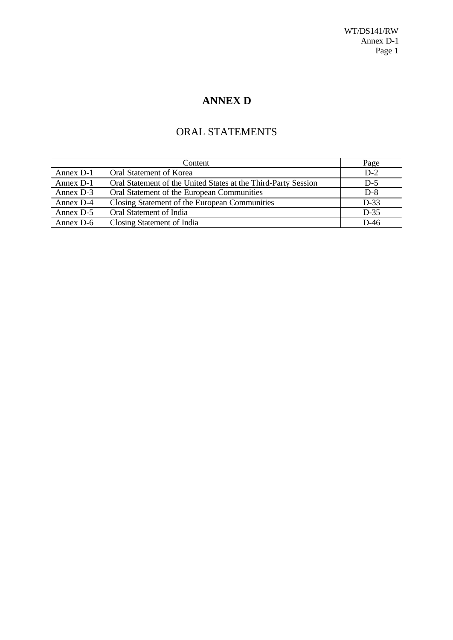# **ANNEX D**

# ORAL STATEMENTS

|           | Content                                                        | Page   |
|-----------|----------------------------------------------------------------|--------|
| Annex D-1 | Oral Statement of Korea                                        | $D-2$  |
| Annex D-1 | Oral Statement of the United States at the Third-Party Session | $D-5$  |
| Annex D-3 | Oral Statement of the European Communities                     | $D-8$  |
| Annex D-4 | Closing Statement of the European Communities                  | $D-33$ |
| Annex D-5 | Oral Statement of India                                        | $D-35$ |
| Annex D-6 | Closing Statement of India                                     | $D-46$ |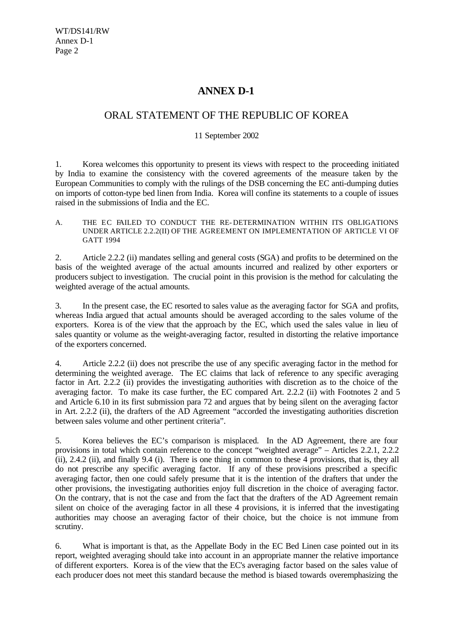## **ANNEX D-1**

## ORAL STATEMENT OF THE REPUBLIC OF KOREA

#### 11 September 2002

1. Korea welcomes this opportunity to present its views with respect to the proceeding initiated by India to examine the consistency with the covered agreements of the measure taken by the European Communities to comply with the rulings of the DSB concerning the EC anti-dumping duties on imports of cotton-type bed linen from India. Korea will confine its statements to a couple of issues raised in the submissions of India and the EC.

A. THE EC FAILED TO CONDUCT THE RE- DETERMINATION WITHIN ITS OBLIGATIONS UNDER ARTICLE 2.2.2(II) OF THE AGREEMENT ON IMPLEMENTATION OF ARTICLE VI OF GATT 1994

2. Article 2.2.2 (ii) mandates selling and general costs (SGA) and profits to be determined on the basis of the weighted average of the actual amounts incurred and realized by other exporters or producers subject to investigation. The crucial point in this provision is the method for calculating the weighted average of the actual amounts.

3. In the present case, the EC resorted to sales value as the averaging factor for SGA and profits, whereas India argued that actual amounts should be averaged according to the sales volume of the exporters. Korea is of the view that the approach by the EC, which used the sales value in lieu of sales quantity or volume as the weight-averaging factor, resulted in distorting the relative importance of the exporters concerned.

4. Article 2.2.2 (ii) does not prescribe the use of any specific averaging factor in the method for determining the weighted average. The EC claims that lack of reference to any specific averaging factor in Art. 2.2.2 (ii) provides the investigating authorities with discretion as to the choice of the averaging factor. To make its case further, the EC compared Art. 2.2.2 (ii) with Footnotes 2 and 5 and Article 6.10 in its first submission para 72 and argues that by being silent on the averaging factor in Art. 2.2.2 (ii), the drafters of the AD Agreement "accorded the investigating authorities discretion between sales volume and other pertinent criteria".

5. Korea believes the EC's comparison is misplaced. In the AD Agreement, there are four provisions in total which contain reference to the concept "weighted average" – Articles 2.2.1, 2.2.2 (ii), 2.4.2 (ii), and finally 9.4 (i). There is one thing in common to these 4 provisions, that is, they all do not prescribe any specific averaging factor. If any of these provisions prescribed a specific averaging factor, then one could safely presume that it is the intention of the drafters that under the other provisions, the investigating authorities enjoy full discretion in the choice of averaging factor. On the contrary, that is not the case and from the fact that the drafters of the AD Agreement remain silent on choice of the averaging factor in all these 4 provisions, it is inferred that the investigating authorities may choose an averaging factor of their choice, but the choice is not immune from scrutiny.

6. What is important is that, as the Appellate Body in the EC Bed Linen case pointed out in its report, weighted averaging should take into account in an appropriate manner the relative importance of different exporters. Korea is of the view that the EC's averaging factor based on the sales value of each producer does not meet this standard because the method is biased towards overemphasizing the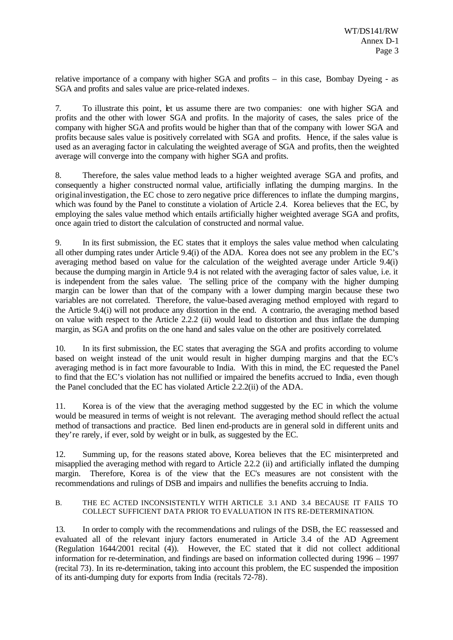relative importance of a company with higher SGA and profits – in this case, Bombay Dyeing - as SGA and profits and sales value are price-related indexes.

7. To illustrate this point, let us assume there are two companies: one with higher SGA and profits and the other with lower SGA and profits. In the majority of cases, the sales price of the company with higher SGA and profits would be higher than that of the company with lower SGA and profits because sales value is positively correlated with SGA and profits. Hence, if the sales value is used as an averaging factor in calculating the weighted average of SGA and profits, then the weighted average will converge into the company with higher SGA and profits.

8. Therefore, the sales value method leads to a higher weighted average SGA and profits, and consequently a higher constructed normal value, artificially inflating the dumping margins. In the originalinvestigation, the EC chose to zero negative price differences to inflate the dumping margins, which was found by the Panel to constitute a violation of Article 2.4. Korea believes that the EC, by employing the sales value method which entails artificially higher weighted average SGA and profits, once again tried to distort the calculation of constructed and normal value.

9. In its first submission, the EC states that it employs the sales value method when calculating all other dumping rates under Article 9.4(i) of the ADA. Korea does not see any problem in the EC's averaging method based on value for the calculation of the weighted average under Article 9.4(i) because the dumping margin in Article 9.4 is not related with the averaging factor of sales value, i.e. it is independent from the sales value. The selling price of the company with the higher dumping margin can be lower than that of the company with a lower dumping margin because these two variables are not correlated. Therefore, the value-based averaging method employed with regard to the Article 9.4(i) will not produce any distortion in the end. A contrario, the averaging method based on value with respect to the Article 2.2.2 (ii) would lead to distortion and thus inflate the dumping margin, as SGA and profits on the one hand and sales value on the other are positively correlated.

10. In its first submission, the EC states that averaging the SGA and profits according to volume based on weight instead of the unit would result in higher dumping margins and that the EC's averaging method is in fact more favourable to India. With this in mind, the EC requested the Panel to find that the EC's violation has not nullified or impaired the benefits accrued to India, even though the Panel concluded that the EC has violated Article 2.2.2(ii) of the ADA.

11. Korea is of the view that the averaging method suggested by the EC in which the volume would be measured in terms of weight is not relevant. The averaging method should reflect the actual method of transactions and practice. Bed linen end-products are in general sold in different units and they're rarely, if ever, sold by weight or in bulk, as suggested by the EC.

12. Summing up, for the reasons stated above, Korea believes that the EC misinterpreted and misapplied the averaging method with regard to Article 2.2.2 (ii) and artificially inflated the dumping margin. Therefore, Korea is of the view that the EC's measures are not consistent with the recommendations and rulings of DSB and impairs and nullifies the benefits accruing to India.

#### B. THE EC ACTED INCONSISTENTLY WITH ARTICLE 3.1 AND 3.4 BECAUSE IT FAILS TO COLLECT SUFFICIENT DATA PRIOR TO EVALUATION IN ITS RE-DETERMINATION.

13. In order to comply with the recommendations and rulings of the DSB, the EC reassessed and evaluated all of the relevant injury factors enumerated in Article 3.4 of the AD Agreement (Regulation 1644/2001 recital (4)). However, the EC stated that it did not collect additional information for re-determination, and findings are based on information collected during 1996 – 1997 (recital 73). In its re-determination, taking into account this problem, the EC suspended the imposition of its anti-dumping duty for exports from India (recitals 72-78).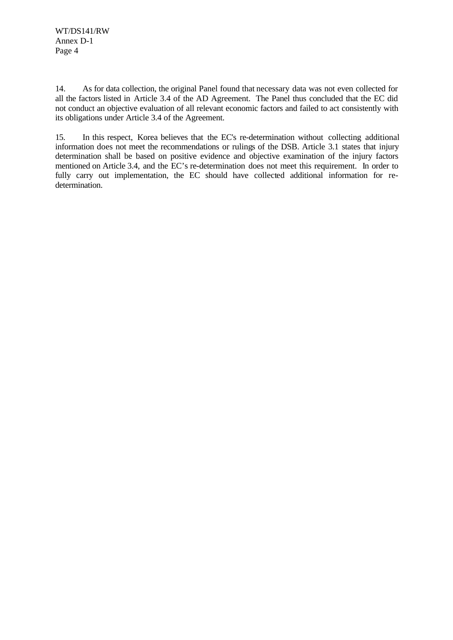14. As for data collection, the original Panel found that necessary data was not even collected for all the factors listed in Article 3.4 of the AD Agreement. The Panel thus concluded that the EC did not conduct an objective evaluation of all relevant economic factors and failed to act consistently with its obligations under Article 3.4 of the Agreement.

15. In this respect, Korea believes that the EC's re-determination without collecting additional information does not meet the recommendations or rulings of the DSB. Article 3.1 states that injury determination shall be based on positive evidence and objective examination of the injury factors mentioned on Article 3.4, and the EC's re-determination does not meet this requirement. In order to fully carry out implementation, the EC should have collected additional information for redetermination.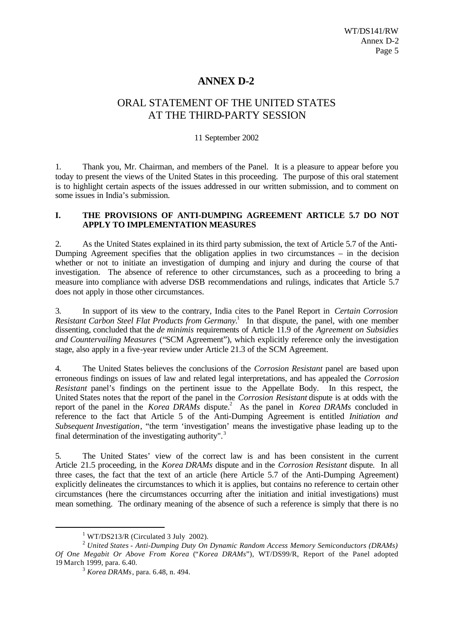## **ANNEX D-2**

## ORAL STATEMENT OF THE UNITED STATES AT THE THIRD-PARTY SESSION

#### 11 September 2002

1. Thank you, Mr. Chairman, and members of the Panel. It is a pleasure to appear before you today to present the views of the United States in this proceeding. The purpose of this oral statement is to highlight certain aspects of the issues addressed in our written submission, and to comment on some issues in India's submission.

#### **I. THE PROVISIONS OF ANTI-DUMPING AGREEMENT ARTICLE 5.7 DO NOT APPLY TO IMPLEMENTATION MEASURES**

2. As the United States explained in its third party submission, the text of Article 5.7 of the Anti-Dumping Agreement specifies that the obligation applies in two circumstances – in the decision whether or not to initiate an investigation of dumping and injury and during the course of that investigation. The absence of reference to other circumstances, such as a proceeding to bring a measure into compliance with adverse DSB recommendations and rulings, indicates that Article 5.7 does not apply in those other circumstances.

3. In support of its view to the contrary, India cites to the Panel Report in *Certain Corrosion* Resistant Carbon Steel Flat Products from Germany.<sup>1</sup> In that dispute, the panel, with one member dissenting, concluded that the *de minimis* requirements of Article 11.9 of the *Agreement on Subsidies and Countervailing Measures* ("SCM Agreement"), which explicitly reference only the investigation stage, also apply in a five-year review under Article 21.3 of the SCM Agreement.

4. The United States believes the conclusions of the *Corrosion Resistant* panel are based upon erroneous findings on issues of law and related legal interpretations, and has appealed the *Corrosion Resistant* panel's findings on the pertinent issue to the Appellate Body. In this respect, the United States notes that the report of the panel in the *Corrosion Resistant* dispute is at odds with the report of the panel in the *Korea DRAMs* dispute.<sup>2</sup> As the panel in *Korea DRAMs* concluded in reference to the fact that Article 5 of the Anti-Dumping Agreement is entitled *Initiation and Subsequent Investigation*, "the term 'investigation' means the investigative phase leading up to the final determination of the investigating authority".<sup>3</sup>

5. The United States' view of the correct law is and has been consistent in the current Article 21.5 proceeding, in the *Korea DRAMs* dispute and in the *Corrosion Resistant* dispute. In all three cases, the fact that the text of an article (here Article 5.7 of the Anti-Dumping Agreement) explicitly delineates the circumstances to which it is applies, but contains no reference to certain other circumstances (here the circumstances occurring after the initiation and initial investigations) must mean something. The ordinary meaning of the absence of such a reference is simply that there is no

 $1$  WT/DS213/R (Circulated 3 July 2002).

<sup>2</sup> *United States - Anti-Dumping Duty On Dynamic Random Access Memory Semiconductors (DRAMs) Of One Megabit Or Above From Korea* ("*Korea DRAMs*"), WT/DS99/R, Report of the Panel adopted 19 March 1999, para. 6.40.

<sup>3</sup> *Korea DRAMs*, para. 6.48, n. 494.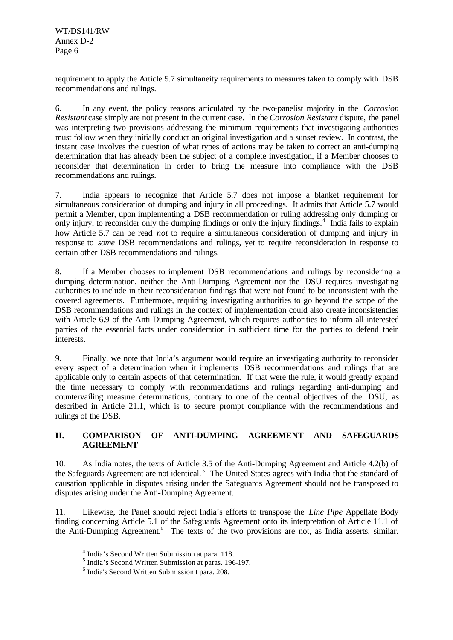requirement to apply the Article 5.7 simultaneity requirements to measures taken to comply with DSB recommendations and rulings.

6. In any event, the policy reasons articulated by the two-panelist majority in the *Corrosion Resistant* case simply are not present in the current case. In the *Corrosion Resistant* dispute, the panel was interpreting two provisions addressing the minimum requirements that investigating authorities must follow when they initially conduct an original investigation and a sunset review. In contrast, the instant case involves the question of what types of actions may be taken to correct an anti-dumping determination that has already been the subject of a complete investigation, if a Member chooses to reconsider that determination in order to bring the measure into compliance with the DSB recommendations and rulings.

7. India appears to recognize that Article 5.7 does not impose a blanket requirement for simultaneous consideration of dumping and injury in all proceedings. It admits that Article 5.7 would permit a Member, upon implementing a DSB recommendation or ruling addressing only dumping or only injury, to reconsider only the dumping findings or only the injury findings.<sup>4</sup> India fails to explain how Article 5.7 can be read *not* to require a simultaneous consideration of dumping and injury in response to *some* DSB recommendations and rulings, yet to require reconsideration in response to certain other DSB recommendations and rulings.

8. If a Member chooses to implement DSB recommendations and rulings by reconsidering a dumping determination, neither the Anti-Dumping Agreement nor the DSU requires investigating authorities to include in their reconsideration findings that were not found to be inconsistent with the covered agreements. Furthermore, requiring investigating authorities to go beyond the scope of the DSB recommendations and rulings in the context of implementation could also create inconsistencies with Article 6.9 of the Anti-Dumping Agreement, which requires authorities to inform all interested parties of the essential facts under consideration in sufficient time for the parties to defend their interests.

9. Finally, we note that India's argument would require an investigating authority to reconsider every aspect of a determination when it implements DSB recommendations and rulings that are applicable only to certain aspects of that determination. If that were the rule, it would greatly expand the time necessary to comply with recommendations and rulings regarding anti-dumping and countervailing measure determinations, contrary to one of the central objectives of the DSU, as described in Article 21.1, which is to secure prompt compliance with the recommendations and rulings of the DSB.

## **II. COMPARISON OF ANTI-DUMPING AGREEMENT AND SAFEGUARDS AGREEMENT**

10. As India notes, the texts of Article 3.5 of the Anti-Dumping Agreement and Article 4.2(b) of the Safeguards Agreement are not identical.<sup>5</sup> The United States agrees with India that the standard of causation applicable in disputes arising under the Safeguards Agreement should not be transposed to disputes arising under the Anti-Dumping Agreement.

11. Likewise, the Panel should reject India's efforts to transpose the *Line Pipe* Appellate Body finding concerning Article 5.1 of the Safeguards Agreement onto its interpretation of Article 11.1 of the Anti-Dumping Agreement.<sup>6</sup> The texts of the two provisions are not, as India asserts, similar.

<sup>&</sup>lt;sup>4</sup> India's Second Written Submission at para. 118.

<sup>5</sup> India's Second Written Submission at paras. 196-197.

<sup>6</sup> India's Second Written Submission t para. 208.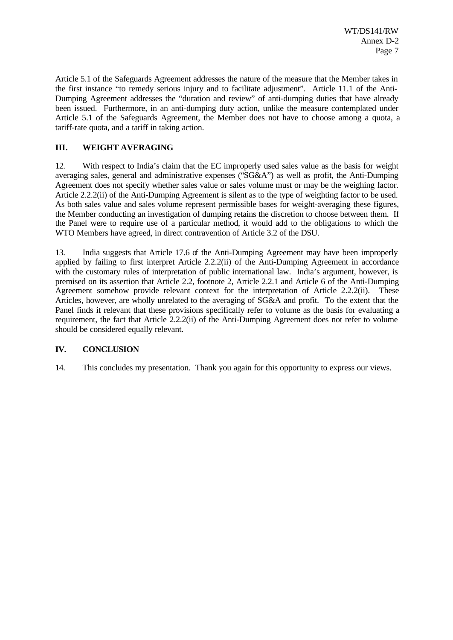Article 5.1 of the Safeguards Agreement addresses the nature of the measure that the Member takes in the first instance "to remedy serious injury and to facilitate adjustment". Article 11.1 of the Anti-Dumping Agreement addresses the "duration and review" of anti-dumping duties that have already been issued. Furthermore, in an anti-dumping duty action, unlike the measure contemplated under Article 5.1 of the Safeguards Agreement, the Member does not have to choose among a quota, a tariff-rate quota, and a tariff in taking action.

## **III. WEIGHT AVERAGING**

12. With respect to India's claim that the EC improperly used sales value as the basis for weight averaging sales, general and administrative expenses ("SG&A") as well as profit, the Anti-Dumping Agreement does not specify whether sales value or sales volume must or may be the weighing factor. Article 2.2.2(ii) of the Anti-Dumping Agreement is silent as to the type of weighting factor to be used. As both sales value and sales volume represent permissible bases for weight-averaging these figures, the Member conducting an investigation of dumping retains the discretion to choose between them. If the Panel were to require use of a particular method, it would add to the obligations to which the WTO Members have agreed, in direct contravention of Article 3.2 of the DSU.

13. India suggests that Article 17.6 of the Anti-Dumping Agreement may have been improperly applied by failing to first interpret Article 2.2.2(ii) of the Anti-Dumping Agreement in accordance with the customary rules of interpretation of public international law. India's argument, however, is premised on its assertion that Article 2.2, footnote 2, Article 2.2.1 and Article 6 of the Anti-Dumping Agreement somehow provide relevant context for the interpretation of Article 2.2.2(ii). These Articles, however, are wholly unrelated to the averaging of SG&A and profit. To the extent that the Panel finds it relevant that these provisions specifically refer to volume as the basis for evaluating a requirement, the fact that Article 2.2.2(ii) of the Anti-Dumping Agreement does not refer to volume should be considered equally relevant.

## **IV. CONCLUSION**

14. This concludes my presentation. Thank you again for this opportunity to express our views.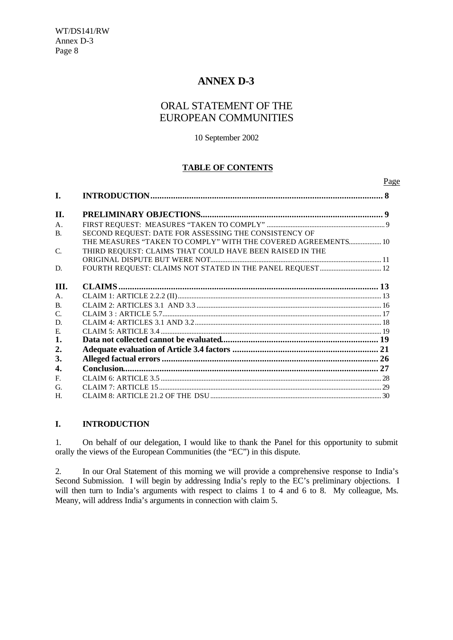## **ANNEX D-3**

## ORAL STATEMENT OF THE EUROPEAN COMMUNITIES

#### 10 September 2002

## **TABLE OF CONTENTS**

Page

| I.              |                                                               |  |
|-----------------|---------------------------------------------------------------|--|
| II.             |                                                               |  |
| $\mathsf{A}$ .  |                                                               |  |
| <b>B.</b>       | SECOND REQUEST: DATE FOR ASSESSING THE CONSISTENCY OF         |  |
|                 | THE MEASURES "TAKEN TO COMPLY" WITH THE COVERED AGREEMENTS 10 |  |
| $\mathcal{C}$ . | THIRD REQUEST: CLAIMS THAT COULD HAVE BEEN RAISED IN THE      |  |
|                 |                                                               |  |
| D.              |                                                               |  |
|                 |                                                               |  |
| III.            |                                                               |  |
| A.              |                                                               |  |
| $\mathbf{B}$    |                                                               |  |
| $\mathcal{C}$ . |                                                               |  |
| D.              |                                                               |  |
| E.              |                                                               |  |
| 1.              |                                                               |  |
| 2.              |                                                               |  |
| 3.              |                                                               |  |
| 4.              |                                                               |  |
| $F_{\cdot}$     |                                                               |  |
| G.              |                                                               |  |
| Н.              |                                                               |  |
|                 |                                                               |  |

## **I. INTRODUCTION**

1. On behalf of our delegation, I would like to thank the Panel for this opportunity to submit orally the views of the European Communities (the "EC") in this dispute.

2. In our Oral Statement of this morning we will provide a comprehensive response to India's Second Submission. I will begin by addressing India's reply to the EC's preliminary objections. I will then turn to India's arguments with respect to claims 1 to 4 and 6 to 8. My colleague, Ms. Meany, will address India's arguments in connection with claim 5.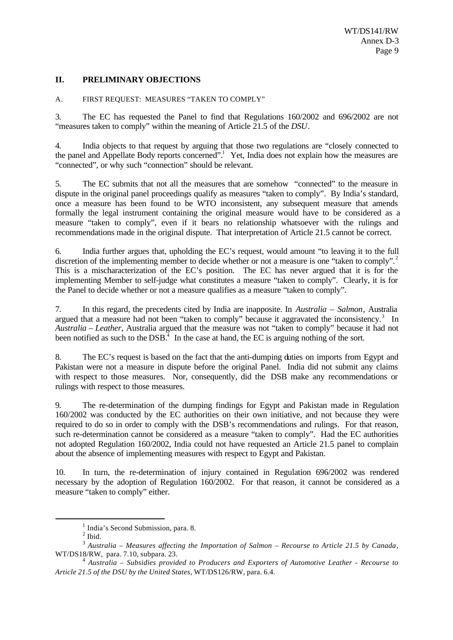## **II. PRELIMINARY OBJECTIONS**

#### A. FIRST REQUEST: MEASURES "TAKEN TO COMPLY"

3. The EC has requested the Panel to find that Regulations 160/2002 and 696/2002 are not "measures taken to comply" within the meaning of Article 21.5 of the *DSU*.

4. India objects to that request by arguing that those two regulations are "closely connected to the panel and Appellate Body reports concerned".<sup>1</sup> Yet, India does not explain how the measures are "connected", or why such "connection" should be relevant.

5. The EC submits that not all the measures that are somehow "connected" to the measure in dispute in the original panel proceedings qualify as measures "taken to comply". By India's standard, once a measure has been found to be WTO inconsistent, any subsequent measure that amends formally the legal instrument containing the original measure would have to be considered as a measure "taken to comply", even if it bears no relationship whatsoever with the rulings and recommendations made in the original dispute. That interpretation of Article 21.5 cannot be correct.

6. India further argues that, upholding the EC's request, would amount "to leaving it to the full discretion of the implementing member to decide whether or not a measure is one "taken to comply".<sup>2</sup> This is a mischaracterization of the EC's position. The EC has never argued that it is for the implementing Member to self-judge what constitutes a measure "taken to comply". Clearly, it is for the Panel to decide whether or not a measure qualifies as a measure "taken to comply".

7. In this regard, the precedents cited by India are inapposite. In *Australia – Salmon*, Australia argued that a measure had not been "taken to comply" because it aggravated the inconsistency.<sup>3</sup> In *Australia – Leather*, Australia argued that the measure was not "taken to comply" because it had not been notified as such to the DSB.<sup> $4$ </sup> In the case at hand, the EC is arguing nothing of the sort.

8. The EC's request is based on the fact that the anti-dumping duties on imports from Egypt and Pakistan were not a measure in dispute before the original Panel. India did not submit any claims with respect to those measures. Nor, consequently, did the DSB make any recommendations or rulings with respect to those measures.

9. The re-determination of the dumping findings for Egypt and Pakistan made in Regulation 160/2002 was conducted by the EC authorities on their own initiative, and not because they were required to do so in order to comply with the DSB's recommendations and rulings. For that reason, such re-determination cannot be considered as a measure "taken to comply". Had the EC authorities not adopted Regulation 160/2002, India could not have requested an Article 21.5 panel to complain about the absence of implementing measures with respect to Egypt and Pakistan.

10. In turn, the re-determination of injury contained in Regulation 696/2002 was rendered necessary by the adoption of Regulation 160/2002. For that reason, it cannot be considered as a measure "taken to comply" either.

<sup>&</sup>lt;sup>1</sup> India's Second Submission, para. 8.

 $<sup>2</sup>$  Ibid.</sup>

<sup>3</sup> *Australia – Measures affecting the Importation of Salmon – Recourse to Article 21.5 by Canada*, WT/DS18/RW, para. 7.10, subpara. 23.

<sup>4</sup> *Australia – Subsidies provided to Producers and Exporters of Automotive Leather - Recourse to Article 21.5 of the DSU by the United States*, WT/DS126/RW, para. 6.4.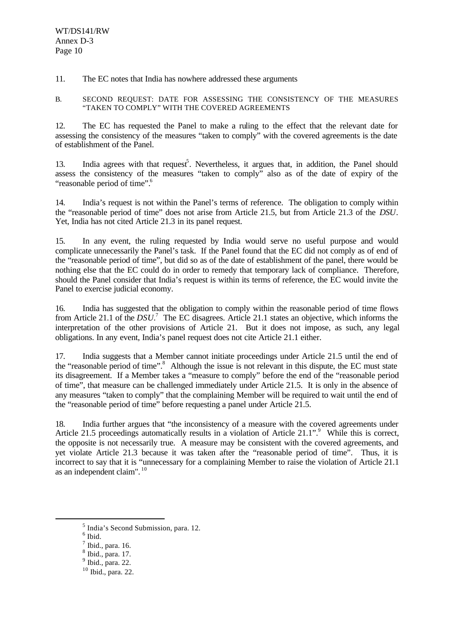11. The EC notes that India has nowhere addressed these arguments

B. SECOND REQUEST: DATE FOR ASSESSING THE CONSISTENCY OF THE MEASURES "TAKEN TO COMPLY" WITH THE COVERED AGREEMENTS

12. The EC has requested the Panel to make a ruling to the effect that the relevant date for assessing the consistency of the measures "taken to comply" with the covered agreements is the date of establishment of the Panel.

13. India agrees with that request<sup>5</sup>. Nevertheless, it argues that, in addition, the Panel should assess the consistency of the measures "taken to comply" also as of the date of expiry of the "reasonable period of time".<sup>6</sup>

14. India's request is not within the Panel's terms of reference. The obligation to comply within the "reasonable period of time" does not arise from Article 21.5, but from Article 21.3 of the *DSU*. Yet, India has not cited Article 21.3 in its panel request.

15. In any event, the ruling requested by India would serve no useful purpose and would complicate unnecessarily the Panel's task. If the Panel found that the EC did not comply as of end of the "reasonable period of time", but did so as of the date of establishment of the panel, there would be nothing else that the EC could do in order to remedy that temporary lack of compliance. Therefore, should the Panel consider that India's request is within its terms of reference, the EC would invite the Panel to exercise judicial economy.

16. India has suggested that the obligation to comply within the reasonable period of time flows from Article 21.1 of the *DSU*.<sup>7</sup> The EC disagrees. Article 21.1 states an objective, which informs the interpretation of the other provisions of Article 21. But it does not impose, as such, any legal obligations. In any event, India's panel request does not cite Article 21.1 either.

17. India suggests that a Member cannot initiate proceedings under Article 21.5 until the end of the "reasonable period of time".<sup>8</sup> Although the issue is not relevant in this dispute, the EC must state its disagreement. If a Member takes a "measure to comply" before the end of the "reasonable period of time", that measure can be challenged immediately under Article 21.5. It is only in the absence of any measures "taken to comply" that the complaining Member will be required to wait until the end of the "reasonable period of time" before requesting a panel under Article 21.5.

18. India further argues that "the inconsistency of a measure with the covered agreements under Article 21.5 proceedings automatically results in a violation of Article 21.1".<sup>9</sup> While this is correct, the opposite is not necessarily true. A measure may be consistent with the covered agreements, and yet violate Article 21.3 because it was taken after the "reasonable period of time". Thus, it is incorrect to say that it is "unnecessary for a complaining Member to raise the violation of Article 21.1 as an independent claim". <sup>10</sup>

<sup>5</sup> India's Second Submission, para. 12.

<sup>6</sup> Ibid.

 $<sup>7</sup>$  Ibid., para. 16.</sup>

<sup>8</sup> Ibid., para. 17.

 $<sup>9</sup>$  Ibid., para. 22.</sup>

<sup>10</sup> Ibid., para. 22.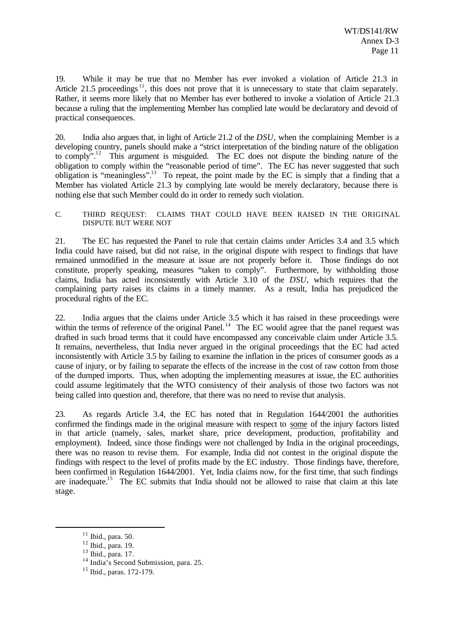19. While it may be true that no Member has ever invoked a violation of Article 21.3 in Article 21.5 proceedings<sup>11</sup>, this does not prove that it is unnecessary to state that claim separately. Rather, it seems more likely that no Member has ever bothered to invoke a violation of Article 21.3 because a ruling that the implementing Member has complied late would be declaratory and devoid of practical consequences.

20. India also argues that, in light of Article 21.2 of the *DSU*, when the complaining Member is a developing country, panels should make a "strict interpretation of the binding nature of the obligation to comply".<sup>12</sup> This argument is misguided. The EC does not dispute the binding nature of the obligation to comply within the "reasonable period of time". The EC has never suggested that such obligation is "meaningless".<sup>13</sup> To repeat, the point made by the EC is simply that a finding that a Member has violated Article 21.3 by complying late would be merely declaratory, because there is nothing else that such Member could do in order to remedy such violation.

C. THIRD REQUEST: CLAIMS THAT COULD HAVE BEEN RAISED IN THE ORIGINAL DISPUTE BUT WERE NOT

21. The EC has requested the Panel to rule that certain claims under Articles 3.4 and 3.5 which India could have raised, but did not raise, in the original dispute with respect to findings that have remained unmodified in the measure at issue are not properly before it. Those findings do not constitute, properly speaking, measures "taken to comply". Furthermore, by withholding those claims, India has acted inconsistently with Article 3.10 of the *DSU*, which requires that the complaining party raises its claims in a timely manner. As a result, India has prejudiced the procedural rights of the EC.

22. India argues that the claims under Article 3.5 which it has raised in these proceedings were within the terms of reference of the original Panel.<sup>14</sup> The EC would agree that the panel request was drafted in such broad terms that it could have encompassed any conceivable claim under Article 3.5. It remains, nevertheless, that India never argued in the original proceedings that the EC had acted inconsistently with Article 3.5 by failing to examine the inflation in the prices of consumer goods as a cause of injury, or by failing to separate the effects of the increase in the cost of raw cotton from those of the dumped imports. Thus, when adopting the implementing measures at issue, the EC authorities could assume legitimately that the WTO consistency of their analysis of those two factors was not being called into question and, therefore, that there was no need to revise that analysis.

23. As regards Article 3.4, the EC has noted that in Regulation 1644/2001 the authorities confirmed the findings made in the original measure with respect to some of the injury factors listed in that article (namely, sales, market share, price development, production, profitability and employment). Indeed, since those findings were not challenged by India in the original proceedings, there was no reason to revise them. For example, India did not contest in the original dispute the findings with respect to the level of profits made by the EC industry. Those findings have, therefore, been confirmed in Regulation 1644/2001. Yet, India claims now, for the first time, that such findings are inadequate.<sup>15</sup> The EC submits that India should not be allowed to raise that claim at this late stage.

 $11$  Ibid., para. 50.

<sup>12</sup> Ibid., para. 19.

<sup>13</sup> Ibid., para. 17.

 $14$  India's Second Submission, para. 25.

<sup>15</sup> Ibid., paras. 172-179.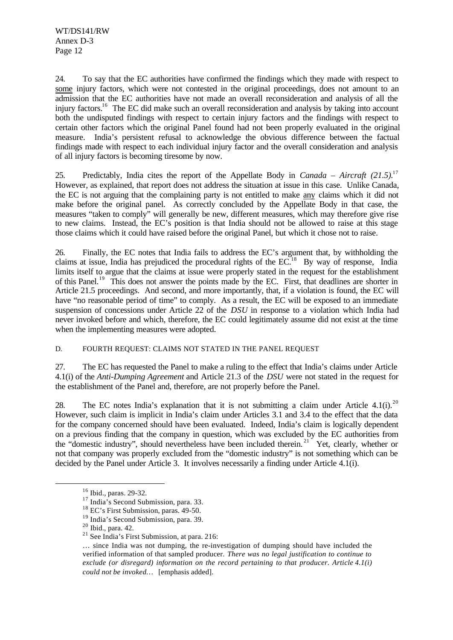24. To say that the EC authorities have confirmed the findings which they made with respect to some injury factors, which were not contested in the original proceedings, does not amount to an admission that the EC authorities have not made an overall reconsideration and analysis of all the injury factors.<sup>16</sup> The EC did make such an overall reconsideration and analysis by taking into account both the undisputed findings with respect to certain injury factors and the findings with respect to certain other factors which the original Panel found had not been properly evaluated in the original measure. India's persistent refusal to acknowledge the obvious difference between the factual findings made with respect to each individual injury factor and the overall consideration and analysis of all injury factors is becoming tiresome by now.

25. Predictably, India cites the report of the Appellate Body in *Canada – Aircraft (21.5).*<sup>17</sup> However, as explained, that report does not address the situation at issue in this case. Unlike Canada, the EC is not arguing that the complaining party is not entitled to make any claims which it did not make before the original panel. As correctly concluded by the Appellate Body in that case, the measures "taken to comply" will generally be new, different measures, which may therefore give rise to new claims. Instead, the EC's position is that India should not be allowed to raise at this stage those claims which it could have raised before the original Panel, but which it chose not to raise.

26. Finally, the EC notes that India fails to address the EC's argument that, by withholding the claims at issue, India has prejudiced the procedural rights of the  $EC<sup>18</sup>$ . By way of response, India limits itself to argue that the claims at issue were properly stated in the request for the establishment of this Panel.<sup>19</sup> This does not answer the points made by the EC. First, that deadlines are shorter in Article 21.5 proceedings. And second, and more importantly, that, if a violation is found, the EC will have "no reasonable period of time" to comply. As a result, the EC will be exposed to an immediate suspension of concessions under Article 22 of the *DSU* in response to a violation which India had never invoked before and which, therefore, the EC could legitimately assume did not exist at the time when the implementing measures were adopted.

#### D. FOURTH REQUEST: CLAIMS NOT STATED IN THE PANEL REQUEST

27. The EC has requested the Panel to make a ruling to the effect that India's claims under Article 4.1(i) of the *Anti-Dumping Agreement* and Article 21.3 of the *DSU* were not stated in the request for the establishment of the Panel and, therefore, are not properly before the Panel.

28. The EC notes India's explanation that it is not submitting a claim under Article 4.1(i).<sup>20</sup> However, such claim is implicit in India's claim under Articles 3.1 and 3.4 to the effect that the data for the company concerned should have been evaluated. Indeed, India's claim is logically dependent on a previous finding that the company in question, which was excluded by the EC authorities from the "domestic industry", should nevertheless have been included therein.<sup>21</sup> Yet, clearly, whether or not that company was properly excluded from the "domestic industry" is not something which can be decided by the Panel under Article 3. It involves necessarily a finding under Article 4.1(i).

<sup>16</sup> Ibid., paras. 29-32.

<sup>&</sup>lt;sup>17</sup> India's Second Submission, para. 33.

<sup>&</sup>lt;sup>18</sup> EC's First Submission, paras. 49-50.

<sup>&</sup>lt;sup>19</sup> India's Second Submission, para. 39.

<sup>20</sup> Ibid., para. 42.

<sup>21</sup> See India's First Submission, at para. 216:

<sup>…</sup> since India was not dumping, the re-investigation of dumping should have included the verified information of that sampled producer. *There was no legal justification to continue to exclude (or disregard) information on the record pertaining to that producer. Article 4.1(i) could not be invoked…* [emphasis added].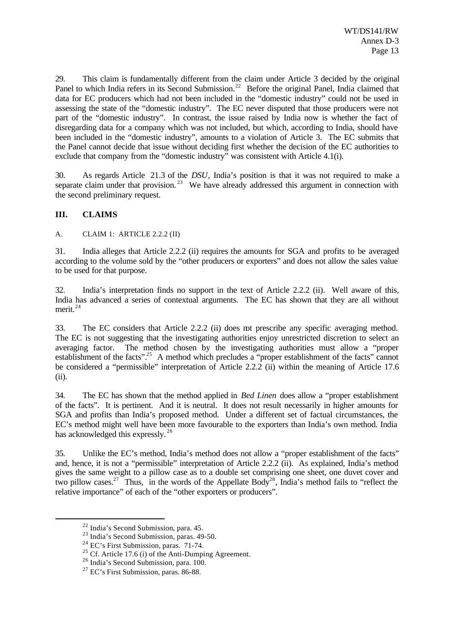29. This claim is fundamentally different from the claim under Article 3 decided by the original Panel to which India refers in its Second Submission.<sup>22</sup> Before the original Panel, India claimed that data for EC producers which had not been included in the "domestic industry" could not be used in assessing the state of the "domestic industry". The EC never disputed that those producers were not part of the "domestic industry". In contrast, the issue raised by India now is whether the fact of disregarding data for a company which was not included, but which, according to India, should have been included in the "domestic industry", amounts to a violation of Article 3. The EC submits that the Panel cannot decide that issue without deciding first whether the decision of the EC authorities to exclude that company from the "domestic industry" was consistent with Article 4.1(i).

30. As regards Article 21.3 of the *DSU*, India's position is that it was not required to make a separate claim under that provision.<sup>23</sup> We have already addressed this argument in connection with the second preliminary request.

#### **III. CLAIMS**

A. CLAIM 1: ARTICLE 2.2.2 (II)

31. India alleges that Article 2.2.2 (ii) requires the amounts for SGA and profits to be averaged according to the volume sold by the "other producers or exporters" and does not allow the sales value to be used for that purpose.

32. India's interpretation finds no support in the text of Article 2.2.2 (ii). Well aware of this, India has advanced a series of contextual arguments. The EC has shown that they are all without merit.<sup>24</sup>

33. The EC considers that Article 2.2.2 (ii) does not prescribe any specific averaging method. The EC is not suggesting that the investigating authorities enjoy unrestricted discretion to select an averaging factor. The method chosen by the investigating authorities must allow a "proper establishment of the facts".<sup>25</sup> A method which precludes a "proper establishment of the facts" cannot be considered a "permissible" interpretation of Article 2.2.2 (ii) within the meaning of Article 17.6 (ii).

34. The EC has shown that the method applied in *Bed Linen* does allow a "proper establishment of the facts". It is pertinent. And it is neutral. It does not result necessarily in higher amounts for SGA and profits than India's proposed method. Under a different set of factual circumstances, the EC's method might well have been more favourable to the exporters than India's own method. India has acknowledged this expressly.<sup>26</sup>

35. Unlike the EC's method, India's method does not allow a "proper establishment of the facts" and, hence, it is not a "permissible" interpretation of Article 2.2.2 (ii). As explained, India's method gives the same weight to a pillow case as to a double set comprising one sheet, one duvet cover and two pillow cases.<sup>27</sup> Thus, in the words of the Appellate Body<sup>28</sup>, India's method fails to "reflect the relative importance" of each of the "other exporters or producers".

<sup>22</sup> India's Second Submission, para. 45.

<sup>&</sup>lt;sup>23</sup> India's Second Submission, paras. 49-50.

<sup>&</sup>lt;sup>24</sup> EC's First Submission, paras. 71-74.

<sup>&</sup>lt;sup>25</sup> Cf. Article 17.6 (i) of the Anti-Dumping Agreement.

 $26$  India's Second Submission, para. 100.

<sup>27</sup> EC's First Submission, paras. 86-88.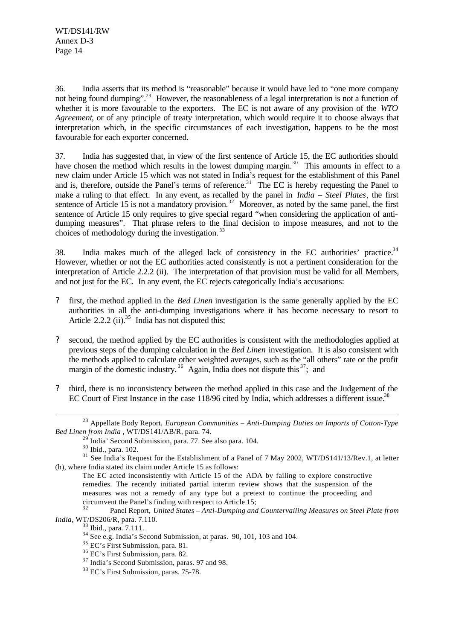36. India asserts that its method is "reasonable" because it would have led to "one more company not being found dumping".<sup>29</sup> However, the reasonableness of a legal interpretation is not a function of whether it is more favourable to the exporters. The EC is not aware of any provision of the *WTO Agreement*, or of any principle of treaty interpretation, which would require it to choose always that interpretation which, in the specific circumstances of each investigation, happens to be the most favourable for each exporter concerned.

37. India has suggested that, in view of the first sentence of Article 15, the EC authorities should have chosen the method which results in the lowest dumping margin.<sup>30</sup> This amounts in effect to a new claim under Article 15 which was not stated in India's request for the establishment of this Panel and is, therefore, outside the Panel's terms of reference.<sup>31</sup> The EC is hereby requesting the Panel to make a ruling to that effect. In any event, as recalled by the panel in *India – Steel Plates*, the first sentence of Article 15 is not a mandatory provision.<sup>32</sup> Moreover, as noted by the same panel, the first sentence of Article 15 only requires to give special regard "when considering the application of antidumping measures". That phrase refers to the final decision to impose measures, and not to the choices of methodology during the investigation.<sup>33</sup>

38. India makes much of the alleged lack of consistency in the EC authorities' practice. $34$ However, whether or not the EC authorities acted consistently is not a pertinent consideration for the interpretation of Article 2.2.2 (ii). The interpretation of that provision must be valid for all Members, and not just for the EC. In any event, the EC rejects categorically India's accusations:

- ? first, the method applied in the *Bed Linen* investigation is the same generally applied by the EC authorities in all the anti-dumping investigations where it has become necessary to resort to Article 2.2.2 (ii).<sup>35</sup> India has not disputed this;
- ? second, the method applied by the EC authorities is consistent with the methodologies applied at previous steps of the dumping calculation in the *Bed Linen* investigation. It is also consistent with the methods applied to calculate other weighted averages, such as the "all others" rate or the profit margin of the domestic industry.<sup>36</sup> Again, India does not dispute this  $37$ ; and
- ? third, there is no inconsistency between the method applied in this case and the Judgement of the EC Court of First Instance in the case 118/96 cited by India, which addresses a different issue.<sup>38</sup>

<sup>28</sup> Appellate Body Report, *European Communities – Anti-Dumping Duties on Imports of Cotton-Type Bed Linen from India* , WT/DS141/AB/R, para. 74.

India' Second Submission, para. 77. See also para. 104.

<sup>30</sup> Ibid., para. 102.

<sup>&</sup>lt;sup>31</sup> See India's Request for the Establishment of a Panel of 7 May 2002, WT/DS141/13/Rev.1, at letter (h), where India stated its claim under Article 15 as follows:

The EC acted inconsistently with Article 15 of the ADA by failing to explore constructive remedies. The recently initiated partial interim review shows that the suspension of the measures was not a remedy of any type but a pretext to continue the proceeding and circumvent the Panel's finding with respect to Article 15;

<sup>32</sup> Panel Report, *United States – Anti-Dumping and Countervailing Measures on Steel Plate from India*, WT/DS206/R, para. 7.110.

<sup>33</sup> Ibid., para. 7.111.

 $34$  See e.g. India's Second Submission, at paras. 90, 101, 103 and 104.

<sup>&</sup>lt;sup>35</sup> EC's First Submission, para. 81.

<sup>36</sup> EC's First Submission, para. 82.

<sup>&</sup>lt;sup>37</sup> India's Second Submission, paras. 97 and 98.

<sup>38</sup> EC's First Submission, paras. 75-78.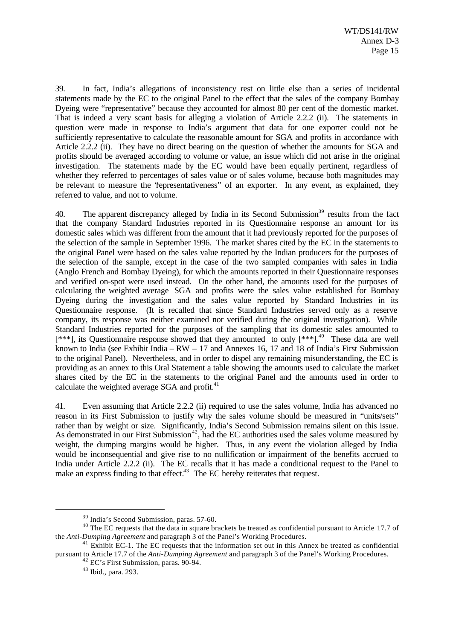39. In fact, India's allegations of inconsistency rest on little else than a series of incidental statements made by the EC to the original Panel to the effect that the sales of the company Bombay Dyeing were "representative" because they accounted for almost 80 per cent of the domestic market. That is indeed a very scant basis for alleging a violation of Article 2.2.2 (ii). The statements in question were made in response to India's argument that data for one exporter could not be sufficiently representative to calculate the reasonable amount for SGA and profits in accordance with Article 2.2.2 (ii). They have no direct bearing on the question of whether the amounts for SGA and profits should be averaged according to volume or value, an issue which did not arise in the original investigation. The statements made by the EC would have been equally pertinent, regardless of whether they referred to percentages of sales value or of sales volume, because both magnitudes may be relevant to measure the 'fepresentativeness' of an exporter. In any event, as explained, they referred to value, and not to volume.

40. The apparent discrepancy alleged by India in its Second Submission<sup>39</sup> results from the fact that the company Standard Industries reported in its Questionnaire response an amount for its domestic sales which was different from the amount that it had previously reported for the purposes of the selection of the sample in September 1996. The market shares cited by the EC in the statements to the original Panel were based on the sales value reported by the Indian producers for the purposes of the selection of the sample, except in the case of the two sampled companies with sales in India (Anglo French and Bombay Dyeing), for which the amounts reported in their Questionnaire responses and verified on-spot were used instead. On the other hand, the amounts used for the purposes of calculating the weighted average SGA and profits were the sales value established for Bombay Dyeing during the investigation and the sales value reported by Standard Industries in its Questionnaire response. (It is recalled that since Standard Industries served only as a reserve company, its response was neither examined nor verified during the original investigation). While Standard Industries reported for the purposes of the sampling that its domestic sales amounted to  $[***]$ , its Questionnaire response showed that they amounted to only  $[***]$ <sup>40</sup> These data are well known to India (see Exhibit India – RW – 17 and Annexes 16, 17 and 18 of India's First Submission to the original Panel). Nevertheless, and in order to dispel any remaining misunderstanding, the EC is providing as an annex to this Oral Statement a table showing the amounts used to calculate the market shares cited by the EC in the statements to the original Panel and the amounts used in order to calculate the weighted average SGA and profit. $41$ 

41. Even assuming that Article 2.2.2 (ii) required to use the sales volume, India has advanced no reason in its First Submission to justify why the sales volume should be measured in "units/sets" rather than by weight or size. Significantly, India's Second Submission remains silent on this issue. As demonstrated in our First Submission<sup>42</sup>, had the EC authorities used the sales volume measured by weight, the dumping margins would be higher. Thus, in any event the violation alleged by India would be inconsequential and give rise to no nullification or impairment of the benefits accrued to India under Article 2.2.2 (ii). The EC recalls that it has made a conditional request to the Panel to make an express finding to that effect.<sup>43</sup> The EC hereby reiterates that request.

<sup>39</sup> India's Second Submission, paras. 57-60.

<sup>&</sup>lt;sup>40</sup> The EC requests that the data in square brackets be treated as confidential pursuant to Article 17.7 of the *Anti-Dumping Agreement* and paragraph 3 of the Panel's Working Procedures.

<sup>&</sup>lt;sup>41</sup> Exhibit EC-1. The EC requests that the information set out in this Annex be treated as confidential pursuant to Article 17.7 of the *Anti-Dumping Agreement* and paragraph 3 of the Panel's Working Procedures.

<sup>42</sup> EC's First Submission, paras. 90-94.

<sup>43</sup> Ibid., para. 293.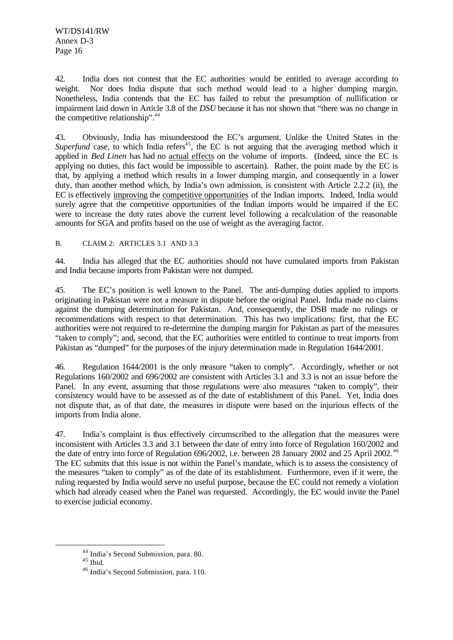WT/DS141/RW Annex D-3 Page 16

42. India does not contest that the EC authorities would be entitled to average according to weight. Nor does India dispute that such method would lead to a higher dumping margin. Nonetheless, India contends that the EC has failed to rebut the presumption of nullification or impairment laid down in Article 3.8 of the *DSU* because it has not shown that "there was no change in the competitive relationship".<sup>44</sup>

43. Obviously, India has misunderstood the EC's argument. Unlike the United States in the *Superfund* case, to which India refers<sup>45</sup>, the EC is not arguing that the averaging method which it applied in *Bed Linen* has had no actual effects on the volume of imports. (Indeed, since the EC is applying no duties, this fact would be impossible to ascertain). Rather, the point made by the EC is that, by applying a method which results in a lower dumping margin, and consequently in a lower duty, than another method which, by India's own admission, is consistent with Article 2.2.2 (ii), the EC is effectively improving the competitive opportunities of the Indian imports. Indeed, India would surely agree that the competitive opportunities of the Indian imports would be impaired if the EC were to increase the duty rates above the current level following a recalculation of the reasonable amounts for SGA and profits based on the use of weight as the averaging factor.

B. CLAIM 2: ARTICLES 3.1 AND 3.3

44. India has alleged that the EC authorities should not have cumulated imports from Pakistan and India because imports from Pakistan were not dumped.

45. The EC's position is well known to the Panel. The anti-dumping duties applied to imports originating in Pakistan were not a measure in dispute before the original Panel. India made no claims against the dumping determination for Pakistan. And, consequently, the DSB made no rulings or recommendations with respect to that determination. This has two implications: first, that the EC authorities were not required to re-determine the dumping margin for Pakistan as part of the measures "taken to comply"; and, second, that the EC authorities were entitled to continue to treat imports from Pakistan as "dumped" for the purposes of the injury determination made in Regulation 1644/2001.

46. Regulation 1644/2001 is the only measure "taken to comply". Accordingly, whether or not Regulations 160/2002 and 696/2002 are consistent with Articles 3.1 and 3.3 is not an issue before the Panel. In any event, assuming that those regulations were also measures "taken to comply", their consistency would have to be assessed as of the date of establishment of this Panel. Yet, India does not dispute that, as of that date, the measures in dispute were based on the injurious effects of the imports from India alone.

47. India's complaint is thus effectively circumscribed to the allegation that the measures were inconsistent with Articles 3.3 and 3.1 between the date of entry into force of Regulation 160/2002 and the date of entry into force of Regulation 696/2002, i.e. between 28 January 2002 and 25 April 2002.<sup>46</sup> The EC submits that this issue is not within the Panel's mandate, which is to assess the consistency of the measures "taken to comply" as of the date of its establishment. Furthermore, even if it were, the ruling requested by India would serve no useful purpose, because the EC could not remedy a violation which had already ceased when the Panel was requested. Accordingly, the EC would invite the Panel to exercise judicial economy.

<sup>44</sup> India's Second Submission, para. 80.

 $45$  Ibid.

<sup>46</sup> India's Second Submission, para. 110.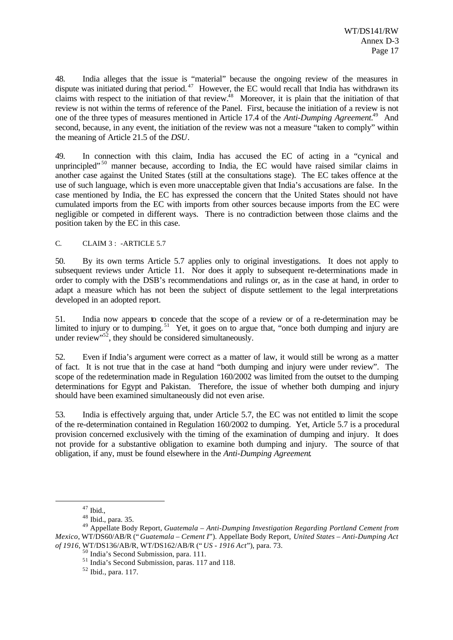48. India alleges that the issue is "material" because the ongoing review of the measures in dispute was initiated during that period.<sup>47</sup> However, the EC would recall that India has withdrawn its claims with respect to the initiation of that review.<sup>48</sup> Moreover, it is plain that the initiation of that review is not within the terms of reference of the Panel. First, because the initiation of a review is not one of the three types of measures mentioned in Article 17.4 of the *Anti-Dumping Agreement.*<sup>49</sup> And second, because, in any event, the initiation of the review was not a measure "taken to comply" within the meaning of Article 21.5 of the *DSU*.

49. In connection with this claim, India has accused the EC of acting in a "cynical and unprincipled"<sup>50</sup> manner because, according to India, the EC would have raised similar claims in another case against the United States (still at the consultations stage). The EC takes offence at the use of such language, which is even more unacceptable given that India's accusations are false. In the case mentioned by India, the EC has expressed the concern that the United States should not have cumulated imports from the EC with imports from other sources because imports from the EC were negligible or competed in different ways. There is no contradiction between those claims and the position taken by the EC in this case.

C. CLAIM 3 : - ARTICLE 5.7

50. By its own terms Article 5.7 applies only to original investigations. It does not apply to subsequent reviews under Article 11. Nor does it apply to subsequent re-determinations made in order to comply with the DSB's recommendations and rulings or, as in the case at hand, in order to adapt a measure which has not been the subject of dispute settlement to the legal interpretations developed in an adopted report.

51. India now appears to concede that the scope of a review or of a re-determination may be limited to injury or to dumping.<sup>51</sup> Yet, it goes on to argue that, "once both dumping and injury are under review"<sup>52</sup>, they should be considered simultaneously.

52. Even if India's argument were correct as a matter of law, it would still be wrong as a matter of fact. It is not true that in the case at hand "both dumping and injury were under review". The scope of the redetermination made in Regulation 160/2002 was limited from the outset to the dumping determinations for Egypt and Pakistan. Therefore, the issue of whether both dumping and injury should have been examined simultaneously did not even arise.

53. India is effectively arguing that, under Article 5.7, the EC was not entitled to limit the scope of the re-determination contained in Regulation 160/2002 to dumping. Yet, Article 5.7 is a procedural provision concerned exclusively with the timing of the examination of dumping and injury. It does not provide for a substantive obligation to examine both dumping and injury. The source of that obligation, if any, must be found elsewhere in the *Anti-Dumping Agreement*.

 $47$  Ibid.,

<sup>48</sup> Ibid., para. 35.

<sup>49</sup> Appellate Body Report, *Guatemala – Anti-Dumping Investigation Regarding Portland Cement from Mexico*, WT/DS60/AB/R (" *Guatemala – Cement I*"). Appellate Body Report, *United States – Anti-Dumping Act of 1916*, WT/DS136/AB/R, WT/DS162/AB/R (" *US - 1916 Act*"), para. 73.

<sup>50</sup> India's Second Submission, para. 111.

<sup>51</sup> India's Second Submission, paras. 117 and 118.

<sup>52</sup> Ibid., para. 117.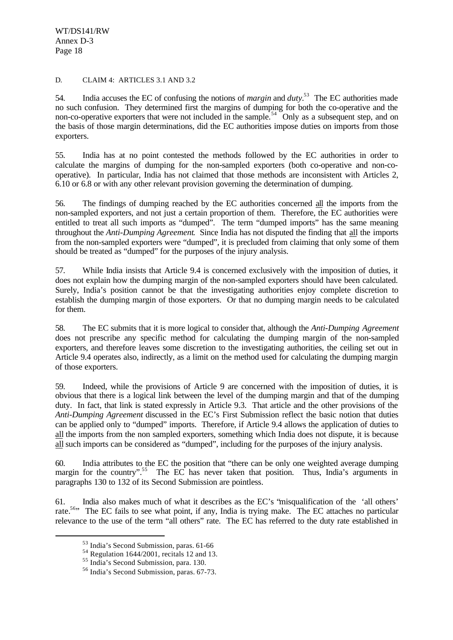WT/DS141/RW Annex D-3 Page 18

#### D. CLAIM 4: ARTICLES 3.1 AND 3.2

54. India accuses the EC of confusing the notions of *margin* and *duty.*<sup>53</sup> The EC authorities made no such confusion. They determined first the margins of dumping for both the co-operative and the non-co-operative exporters that were not included in the sample.<sup>54</sup> Only as a subsequent step, and on the basis of those margin determinations, did the EC authorities impose duties on imports from those exporters.

55. India has at no point contested the methods followed by the EC authorities in order to calculate the margins of dumping for the non-sampled exporters (both co-operative and non-cooperative). In particular, India has not claimed that those methods are inconsistent with Articles 2, 6.10 or 6.8 or with any other relevant provision governing the determination of dumping.

56. The findings of dumping reached by the EC authorities concerned all the imports from the non-sampled exporters, and not just a certain proportion of them. Therefore, the EC authorities were entitled to treat all such imports as "dumped". The term "dumped imports" has the same meaning throughout the *Anti-Dumping Agreement*. Since India has not disputed the finding that all the imports from the non-sampled exporters were "dumped", it is precluded from claiming that only some of them should be treated as "dumped" for the purposes of the injury analysis.

57. While India insists that Article 9.4 is concerned exclusively with the imposition of duties, it does not explain how the dumping margin of the non-sampled exporters should have been calculated. Surely, India's position cannot be that the investigating authorities enjoy complete discretion to establish the dumping margin of those exporters. Or that no dumping margin needs to be calculated for them.

58. The EC submits that it is more logical to consider that, although the *Anti-Dumping Agreement* does not prescribe any specific method for calculating the dumping margin of the non-sampled exporters, and therefore leaves some discretion to the investigating authorities, the ceiling set out in Article 9.4 operates also, indirectly, as a limit on the method used for calculating the dumping margin of those exporters.

59. Indeed, while the provisions of Article 9 are concerned with the imposition of duties, it is obvious that there is a logical link between the level of the dumping margin and that of the dumping duty. In fact, that link is stated expressly in Article 9.3. That article and the other provisions of the *Anti-Dumping Agreement* discussed in the EC's First Submission reflect the basic notion that duties can be applied only to "dumped" imports. Therefore, if Article 9.4 allows the application of duties to all the imports from the non sampled exporters, something which India does not dispute, it is because all such imports can be considered as "dumped", including for the purposes of the injury analysis.

60. India attributes to the EC the position that "there can be only one weighted average dumping margin for the country".<sup>55</sup> The EC has never taken that position. Thus, India's arguments in paragraphs 130 to 132 of its Second Submission are pointless.

61. India also makes much of what it describes as the EC's "misqualification of the 'all others' rate.<sup>56</sup><sup>,</sup> The EC fails to see what point, if any, India is trying make. The EC attaches no particular relevance to the use of the term "all others" rate. The EC has referred to the duty rate established in

<sup>53</sup> India's Second Submission, paras. 61-66

 $54$  Regulation 1644/2001, recitals 12 and 13.

<sup>55</sup> India's Second Submission, para. 130.

<sup>56</sup> India's Second Submission, paras. 67-73.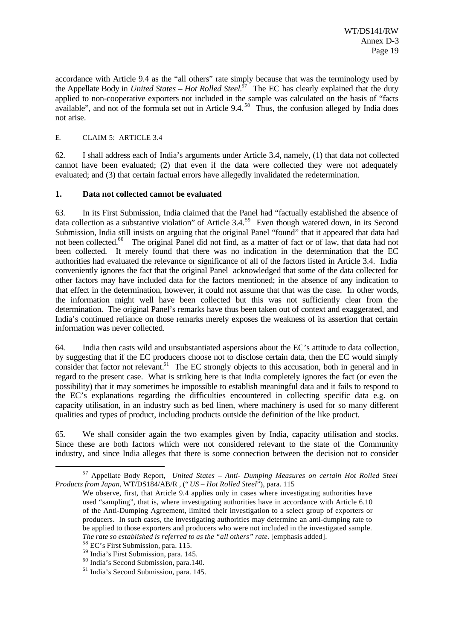accordance with Article 9.4 as the "all others" rate simply because that was the terminology used by the Appellate Body in *United States – Hot Rolled Steel.*<sup>57</sup> The EC has clearly explained that the duty applied to non-cooperative exporters not included in the sample was calculated on the basis of "facts" available", and not of the formula set out in Article  $9.4$ <sup>58</sup>. Thus, the confusion alleged by India does not arise.

#### E. CLAIM 5: ARTICLE 3.4

62. I shall address each of India's arguments under Article 3.4, namely, (1) that data not collected cannot have been evaluated; (2) that even if the data were collected they were not adequately evaluated; and (3) that certain factual errors have allegedly invalidated the redetermination.

#### **1. Data not collected cannot be evaluated**

63. In its First Submission, India claimed that the Panel had "factually established the absence of data collection as a substantive violation" of Article 3.4.<sup>59</sup> Even though watered down, in its Second Submission, India still insists on arguing that the original Panel "found" that it appeared that data had not been collected.<sup>60</sup> The original Panel did not find, as a matter of fact or of law, that data had not been collected. It merely found that there was no indication in the determination that the EC authorities had evaluated the relevance or significance of all of the factors listed in Article 3.4. India conveniently ignores the fact that the original Panel acknowledged that some of the data collected for other factors may have included data for the factors mentioned; in the absence of any indication to that effect in the determination, however, it could not assume that that was the case. In other words, the information might well have been collected but this was not sufficiently clear from the determination. The original Panel's remarks have thus been taken out of context and exaggerated, and India's continued reliance on those remarks merely exposes the weakness of its assertion that certain information was never collected.

64. India then casts wild and unsubstantiated aspersions about the EC's attitude to data collection, by suggesting that if the EC producers choose not to disclose certain data, then the EC would simply consider that factor not relevant.<sup>61</sup> The EC strongly objects to this accusation, both in general and in regard to the present case. What is striking here is that India completely ignores the fact (or even the possibility) that it may sometimes be impossible to establish meaningful data and it fails to respond to the EC's explanations regarding the difficulties encountered in collecting specific data e.g. on capacity utilisation, in an industry such as bed linen, where machinery is used for so many different qualities and types of product, including products outside the definition of the like product.

65. We shall consider again the two examples given by India, capacity utilisation and stocks. Since these are both factors which were not considered relevant to the state of the Community industry, and since India alleges that there is some connection between the decision not to consider

<sup>57</sup> Appellate Body Report, *United States – Anti- Dumping Measures on certain Hot Rolled Steel Products from Japan*, WT/DS184/AB/R , (" *US – Hot Rolled Steel*"), para. 115

We observe, first, that Article 9.4 applies only in cases where investigating authorities have used "sampling", that is, where investigating authorities have in accordance with Article 6.10 of the Anti-Dumping Agreement, limited their investigation to a select group of exporters or producers. In such cases, the investigating authorities may determine an anti-dumping rate to be applied to those exporters and producers who were not included in the investigated sample. *The rate so established is referred to as the "all others" rate.* [emphasis added].

<sup>58</sup> EC's First Submission, para. 115.

<sup>59</sup> India's First Submission, para. 145.

<sup>60</sup> India's Second Submission, para.140.

<sup>61</sup> India's Second Submission, para. 145.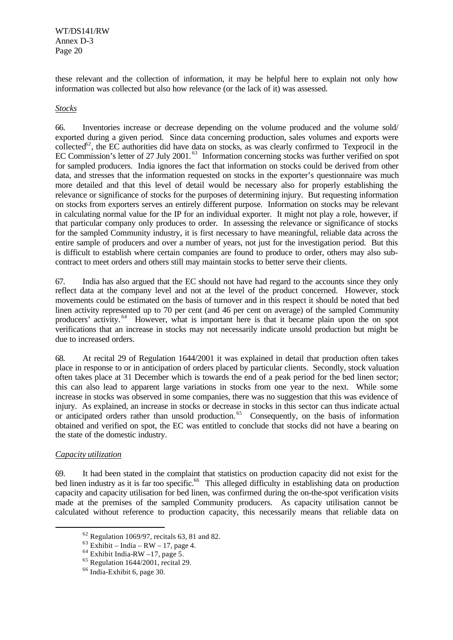WT/DS141/RW Annex D-3 Page 20

these relevant and the collection of information, it may be helpful here to explain not only how information was collected but also how relevance (or the lack of it) was assessed.

#### *Stocks*

66. Inventories increase or decrease depending on the volume produced and the volume sold/ exported during a given period. Since data concerning production, sales volumes and exports were  $collected<sup>62</sup>$ , the EC authorities did have data on stocks, as was clearly confirmed to Texprocil in the EC Commission's letter of 27 July 2001.<sup>63</sup> Information concerning stocks was further verified on spot for sampled producers. India ignores the fact that information on stocks could be derived from other data, and stresses that the information requested on stocks in the exporter's questionnaire was much more detailed and that this level of detail would be necessary also for properly establishing the relevance or significance of stocks for the purposes of determining injury. But requesting information on stocks from exporters serves an entirely different purpose. Information on stocks may be relevant in calculating normal value for the IP for an individual exporter. It might not play a role, however, if that particular company only produces to order. In assessing the relevance or significance of stocks for the sampled Community industry, it is first necessary to have meaningful, reliable data across the entire sample of producers and over a number of years, not just for the investigation period. But this is difficult to establish where certain companies are found to produce to order, others may also subcontract to meet orders and others still may maintain stocks to better serve their clients.

67. India has also argued that the EC should not have had regard to the accounts since they only reflect data at the company level and not at the level of the product concerned. However, stock movements could be estimated on the basis of turnover and in this respect it should be noted that bed linen activity represented up to 70 per cent (and 46 per cent on average) of the sampled Community producers' activity.<sup>64</sup> However, what is important here is that it became plain upon the on spot verifications that an increase in stocks may not necessarily indicate unsold production but might be due to increased orders.

68*.* At recital 29 of Regulation 1644/2001 it was explained in detail that production often takes place in response to or in anticipation of orders placed by particular clients. Secondly, stock valuation often takes place at 31 December which is towards the end of a peak period for the bed linen sector; this can also lead to apparent large variations in stocks from one year to the next. While some increase in stocks was observed in some companies, there was no suggestion that this was evidence of injury. As explained, an increase in stocks or decrease in stocks in this sector can thus indicate actual or anticipated orders rather than unsold production.<sup>65</sup> Consequently, on the basis of information obtained and verified on spot, the EC was entitled to conclude that stocks did not have a bearing on the state of the domestic industry.

#### *Capacity utilization*

l

69. It had been stated in the complaint that statistics on production capacity did not exist for the bed linen industry as it is far too specific.<sup>66</sup> This alleged difficulty in establishing data on production capacity and capacity utilisation for bed linen, was confirmed during the on-the-spot verification visits made at the premises of the sampled Community producers. As capacity utilisation cannot be calculated without reference to production capacity, this necessarily means that reliable data on

 $62$  Regulation 1069/97, recitals 63, 81 and 82.

 $63$  Exhibit – India – RW – 17, page 4.

 $64$  Exhibit India-RW –17, page 5.

 $65$  Regulation 1644/2001, recital 29.

 $66$  India-Exhibit 6, page 30.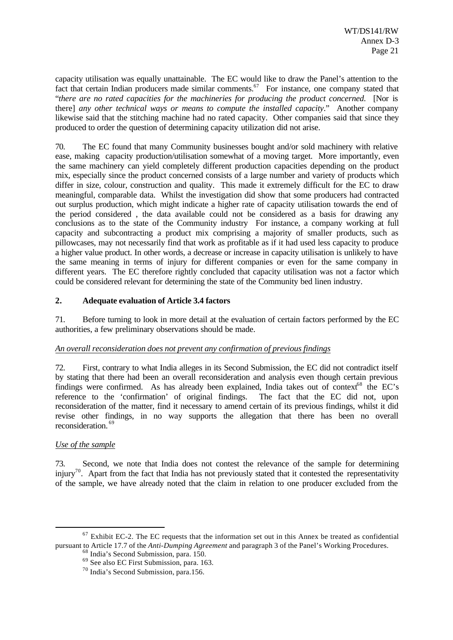capacity utilisation was equally unattainable. The EC would like to draw the Panel's attention to the fact that certain Indian producers made similar comments.<sup>67</sup> For instance, one company stated that "*there are no rated capacities for the machineries for producing the product concerned.* [Nor is there] *any other technical ways or means to compute the installed capacity*." Another company likewise said that the stitching machine had no rated capacity. Other companies said that since they produced to order the question of determining capacity utilization did not arise.

70. The EC found that many Community businesses bought and/or sold machinery with relative ease, making capacity production/utilisation somewhat of a moving target. More importantly, even the same machinery can yield completely different production capacities depending on the product mix, especially since the product concerned consists of a large number and variety of products which differ in size, colour, construction and quality. This made it extremely difficult for the EC to draw meaningful, comparable data. Whilst the investigation did show that some producers had contracted out surplus production, which might indicate a higher rate of capacity utilisation towards the end of the period considered , the data available could not be considered as a basis for drawing any conclusions as to the state of the Community industry For instance, a company working at full capacity and subcontracting a product mix comprising a majority of smaller products, such as pillowcases, may not necessarily find that work as profitable as if it had used less capacity to produce a higher value product. In other words, a decrease or increase in capacity utilisation is unlikely to have the same meaning in terms of injury for different companies or even for the same company in different years. The EC therefore rightly concluded that capacity utilisation was not a factor which could be considered relevant for determining the state of the Community bed linen industry.

#### **2. Adequate evaluation of Article 3.4 factors**

71. Before turning to look in more detail at the evaluation of certain factors performed by the EC authorities, a few preliminary observations should be made.

#### *An overall reconsideration does not prevent any confirmation of previous findings*

72. First, contrary to what India alleges in its Second Submission, the EC did not contradict itself by stating that there had been an overall reconsideration and analysis even though certain previous findings were confirmed. As has already been explained, India takes out of context<sup>68</sup> the EC's reference to the 'confirmation' of original findings. The fact that the EC did not, upon reconsideration of the matter, find it necessary to amend certain of its previous findings, whilst it did revise other findings, in no way supports the allegation that there has been no overall reconsideration. <sup>69</sup>

## *Use of the sample*

l

73. Second, we note that India does not contest the relevance of the sample for determining injury<sup>70</sup>. Apart from the fact that India has not previously stated that it contested the representativity of the sample, we have already noted that the claim in relation to one producer excluded from the

 $67$  Exhibit EC-2. The EC requests that the information set out in this Annex be treated as confidential pursuant to Article 17.7 of the *Anti-Dumping Agreement* and paragraph 3 of the Panel's Working Procedures.

 $68$  India's Second Submission, para. 150.

<sup>69</sup> See also EC First Submission, para. 163.

<sup>70</sup> India's Second Submission, para.156.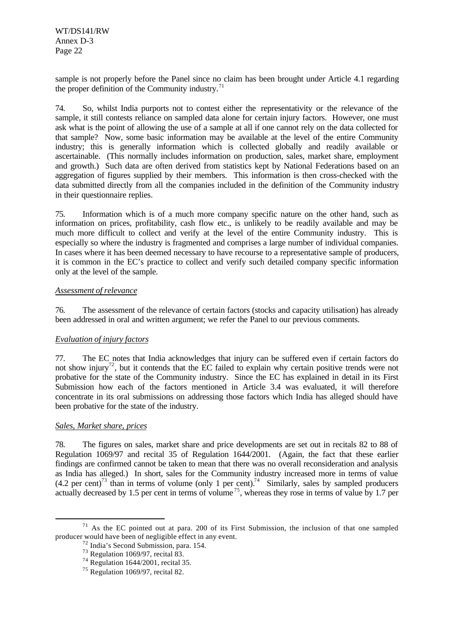sample is not properly before the Panel since no claim has been brought under Article 4.1 regarding the proper definition of the Community industry. $71$ 

74. So, whilst India purports not to contest either the representativity or the relevance of the sample, it still contests reliance on sampled data alone for certain injury factors. However, one must ask what is the point of allowing the use of a sample at all if one cannot rely on the data collected for that sample? Now, some basic information may be available at the level of the entire Community industry; this is generally information which is collected globally and readily available or ascertainable. (This normally includes information on production, sales, market share, employment and growth.) Such data are often derived from statistics kept by National Federations based on an aggregation of figures supplied by their members. This information is then cross-checked with the data submitted directly from all the companies included in the definition of the Community industry in their questionnaire replies.

75. Information which is of a much more company specific nature on the other hand, such as information on prices, profitability, cash flow etc., is unlikely to be readily available and may be much more difficult to collect and verify at the level of the entire Community industry. This is especially so where the industry is fragmented and comprises a large number of individual companies. In cases where it has been deemed necessary to have recourse to a representative sample of producers, it is common in the EC's practice to collect and verify such detailed company specific information only at the level of the sample.

#### *Assessment of relevance*

76. The assessment of the relevance of certain factors (stocks and capacity utilisation) has already been addressed in oral and written argument; we refer the Panel to our previous comments.

## *Evaluation of injury factors*

77. The EC notes that India acknowledges that injury can be suffered even if certain factors do not show injury<sup>72</sup>, but it contends that the EC failed to explain why certain positive trends were not probative for the state of the Community industry. Since the EC has explained in detail in its First Submission how each of the factors mentioned in Article 3.4 was evaluated, it will therefore concentrate in its oral submissions on addressing those factors which India has alleged should have been probative for the state of the industry.

#### *Sales, Market share, prices*

l

78. The figures on sales, market share and price developments are set out in recitals 82 to 88 of Regulation 1069/97 and recital 35 of Regulation 1644/2001. (Again, the fact that these earlier findings are confirmed cannot be taken to mean that there was no overall reconsideration and analysis as India has alleged.) In short, sales for the Community industry increased more in terms of value  $(4.2 \text{ per cent})^{73}$  than in terms of volume (only 1 per cent).<sup>74</sup> Similarly, sales by sampled producers actually decreased by 1.5 per cent in terms of volume<sup>75</sup>, whereas they rose in terms of value by 1.7 per

 $71$  As the EC pointed out at para. 200 of its First Submission, the inclusion of that one sampled producer would have been of negligible effect in any event.

<sup>72</sup> India's Second Submission, para. 154.

 $73$  Regulation 1069/97, recital 83.

<sup>&</sup>lt;sup>74</sup> Regulation 1644/2001, recital 35.

 $75$  Regulation 1069/97, recital 82.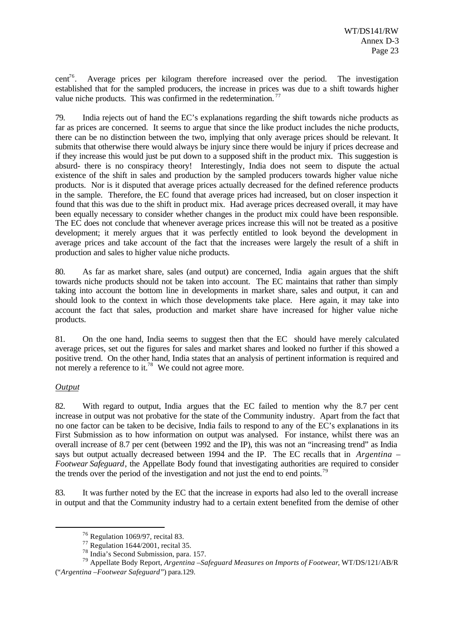cent<sup>76</sup>. Average prices per kilogram therefore increased over the period. The investigation established that for the sampled producers, the increase in prices was due to a shift towards higher value niche products. This was confirmed in the redetermination.<sup>77</sup>

79. India rejects out of hand the EC's explanations regarding the shift towards niche products as far as prices are concerned. It seems to argue that since the like product includes the niche products, there can be no distinction between the two, implying that only average prices should be relevant. It submits that otherwise there would always be injury since there would be injury if prices decrease and if they increase this would just be put down to a supposed shift in the product mix. This suggestion is absurd- there is no conspiracy theory! Interestingly, India does not seem to dispute the actual existence of the shift in sales and production by the sampled producers towards higher value niche products. Nor is it disputed that average prices actually decreased for the defined reference products in the sample. Therefore, the EC found that average prices had increased, but on closer inspection it found that this was due to the shift in product mix. Had average prices decreased overall, it may have been equally necessary to consider whether changes in the product mix could have been responsible. The EC does not conclude that whenever average prices increase this will not be treated as a positive development; it merely argues that it was perfectly entitled to look beyond the development in average prices and take account of the fact that the increases were largely the result of a shift in production and sales to higher value niche products.

80. As far as market share, sales (and output) are concerned, India again argues that the shift towards niche products should not be taken into account. The EC maintains that rather than simply taking into account the bottom line in developments in market share, sales and output, it can and should look to the context in which those developments take place. Here again, it may take into account the fact that sales, production and market share have increased for higher value niche products.

81. On the one hand, India seems to suggest then that the EC should have merely calculated average prices, set out the figures for sales and market shares and looked no further if this showed a positive trend. On the other hand, India states that an analysis of pertinent information is required and not merely a reference to it.<sup>78</sup> We could not agree more.

## *Output*

l

82. With regard to output, India argues that the EC failed to mention why the 8.7 per cent increase in output was not probative for the state of the Community industry. Apart from the fact that no one factor can be taken to be decisive, India fails to respond to any of the EC's explanations in its First Submission as to how information on output was analysed. For instance, whilst there was an overall increase of 8.7 per cent (between 1992 and the IP), this was not an "increasing trend" as India says but output actually decreased between 1994 and the IP. The EC recalls that in *Argentina – Footwear Safeguard*, the Appellate Body found that investigating authorities are required to consider the trends over the period of the investigation and not just the end to end points.<sup>79</sup>

83. It was further noted by the EC that the increase in exports had also led to the overall increase in output and that the Community industry had to a certain extent benefited from the demise of other

<sup>76</sup> Regulation 1069/97, recital 83.

<sup>77</sup> Regulation 1644/2001, recital 35.

<sup>78</sup> India's Second Submission, para. 157.

<sup>79</sup> Appellate Body Report, *Argentina –Safeguard Measures on Imports of Footwear*, WT/DS/121/AB/R ("*Argentina –Footwear Safeguard*") para.129.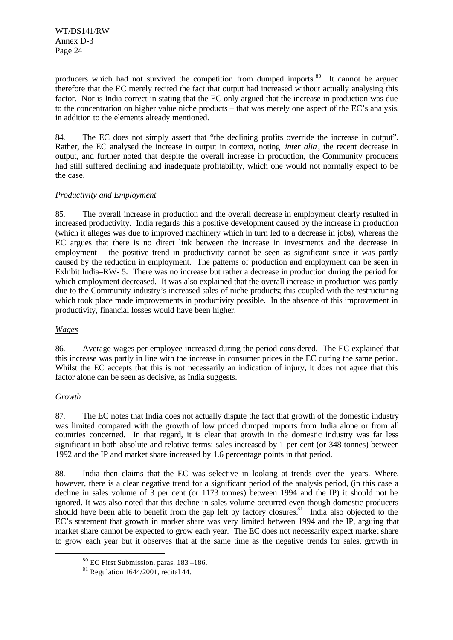producers which had not survived the competition from dumped imports.<sup>80</sup> It cannot be argued therefore that the EC merely recited the fact that output had increased without actually analysing this factor. Nor is India correct in stating that the EC only argued that the increase in production was due to the concentration on higher value niche products – that was merely one aspect of the EC's analysis, in addition to the elements already mentioned.

84. The EC does not simply assert that "the declining profits override the increase in output". Rather, the EC analysed the increase in output in context, noting *inter alia*, the recent decrease in output, and further noted that despite the overall increase in production, the Community producers had still suffered declining and inadequate profitability, which one would not normally expect to be the case.

#### *Productivity and Employment*

85. The overall increase in production and the overall decrease in employment clearly resulted in increased productivity. India regards this a positive development caused by the increase in production (which it alleges was due to improved machinery which in turn led to a decrease in jobs), whereas the EC argues that there is no direct link between the increase in investments and the decrease in employment – the positive trend in productivity cannot be seen as significant since it was partly caused by the reduction in employment. The patterns of production and employment can be seen in Exhibit India–RW- 5. There was no increase but rather a decrease in production during the period for which employment decreased. It was also explained that the overall increase in production was partly due to the Community industry's increased sales of niche products; this coupled with the restructuring which took place made improvements in productivity possible. In the absence of this improvement in productivity, financial losses would have been higher.

## *Wages*

86. Average wages per employee increased during the period considered. The EC explained that this increase was partly in line with the increase in consumer prices in the EC during the same period. Whilst the EC accepts that this is not necessarily an indication of injury, it does not agree that this factor alone can be seen as decisive, as India suggests.

## *Growth*

l

87. The EC notes that India does not actually dispute the fact that growth of the domestic industry was limited compared with the growth of low priced dumped imports from India alone or from all countries concerned. In that regard, it is clear that growth in the domestic industry was far less significant in both absolute and relative terms: sales increased by 1 per cent (or 348 tonnes) between 1992 and the IP and market share increased by 1.6 percentage points in that period.

88. India then claims that the EC was selective in looking at trends over the years. Where, however, there is a clear negative trend for a significant period of the analysis period, (in this case a decline in sales volume of 3 per cent (or 1173 tonnes) between 1994 and the IP) it should not be ignored. It was also noted that this decline in sales volume occurred even though domestic producers should have been able to benefit from the gap left by factory closures.<sup>81</sup> India also objected to the EC's statement that growth in market share was very limited between 1994 and the IP, arguing that market share cannot be expected to grow each year. The EC does not necessarily expect market share to grow each year but it observes that at the same time as the negative trends for sales, growth in

<sup>80</sup> EC First Submission, paras. 183 –186.

 $81$  Regulation 1644/2001, recital 44.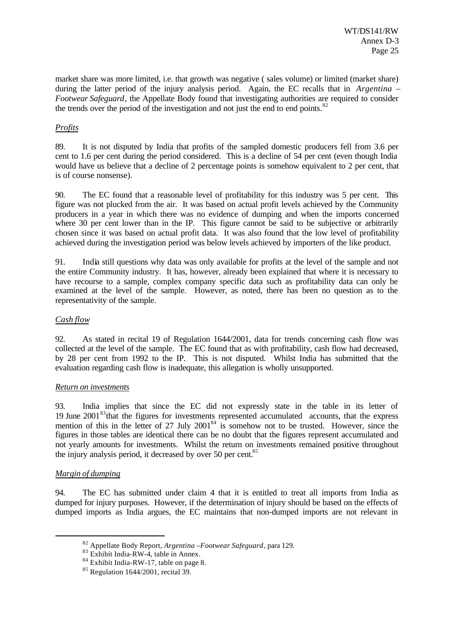market share was more limited, i.e. that growth was negative ( sales volume) or limited (market share) during the latter period of the injury analysis period. Again, the EC recalls that in *Argentina – Footwear Safeguard*, the Appellate Body found that investigating authorities are required to consider the trends over the period of the investigation and not just the end to end points. $82$ 

#### *Profits*

89. It is not disputed by India that profits of the sampled domestic producers fell from 3.6 per cent to 1.6 per cent during the period considered. This is a decline of 54 per cent (even though India would have us believe that a decline of 2 percentage points is somehow equivalent to 2 per cent, that is of course nonsense).

90. The EC found that a reasonable level of profitability for this industry was 5 per cent. This figure was not plucked from the air. It was based on actual profit levels achieved by the Community producers in a year in which there was no evidence of dumping and when the imports concerned where 30 per cent lower than in the IP. This figure cannot be said to be subjective or arbitrarily chosen since it was based on actual profit data. It was also found that the low level of profitability achieved during the investigation period was below levels achieved by importers of the like product.

91. India still questions why data was only available for profits at the level of the sample and not the entire Community industry. It has, however, already been explained that where it is necessary to have recourse to a sample, complex company specific data such as profitability data can only be examined at the level of the sample. However, as noted, there has been no question as to the representativity of the sample.

#### *Cash flow*

92. As stated in recital 19 of Regulation 1644/2001, data for trends concerning cash flow was collected at the level of the sample. The EC found that as with profitability, cash flow had decreased, by 28 per cent from 1992 to the IP. This is not disputed. Whilst India has submitted that the evaluation regarding cash flow is inadequate, this allegation is wholly unsupported.

#### *Return on investments*

93. India implies that since the EC did not expressly state in the table in its letter of 19 June 2001<sup>83</sup>that the figures for investments represented accumulated accounts, that the express mention of this in the letter of 27 July  $2001^{84}$  is somehow not to be trusted. However, since the figures in those tables are identical there can be no doubt that the figures represent accumulated and not yearly amounts for investments. Whilst the return on investments remained positive throughout the injury analysis period, it decreased by over 50 per cent.<sup>85</sup>

#### *Margin of dumping*

l

94. The EC has submitted under claim 4 that it is entitled to treat all imports from India as dumped for injury purposes. However, if the determination of injury should be based on the effects of dumped imports as India argues, the EC maintains that non-dumped imports are not relevant in

<sup>82</sup> Appellate Body Report, *Argentina –Footwear Safeguard*, para 129.

<sup>&</sup>lt;sup>83</sup> Exhibit India-RW-4, table in Annex.

 $84$  Exhibit India-RW-17, table on page 8.

 $85$  Regulation 1644/2001, recital 39.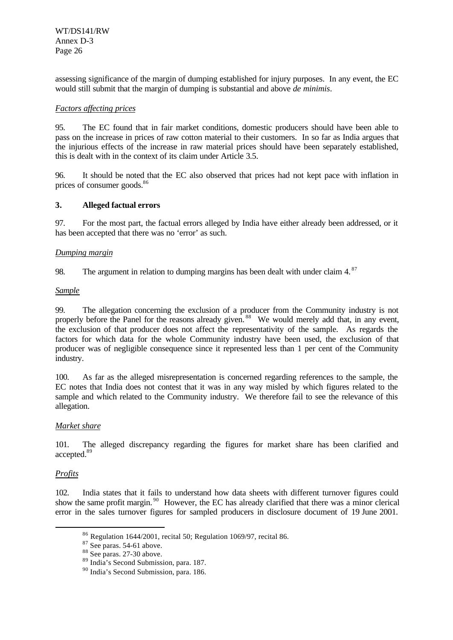assessing significance of the margin of dumping established for injury purposes. In any event, the EC would still submit that the margin of dumping is substantial and above *de minimis*.

#### *Factors affecting prices*

95. The EC found that in fair market conditions, domestic producers should have been able to pass on the increase in prices of raw cotton material to their customers. In so far as India argues that the injurious effects of the increase in raw material prices should have been separately established, this is dealt with in the context of its claim under Article 3.5.

96. It should be noted that the EC also observed that prices had not kept pace with inflation in prices of consumer goods.<sup>86</sup>

#### **3. Alleged factual errors**

97. For the most part, the factual errors alleged by India have either already been addressed, or it has been accepted that there was no 'error' as such.

#### *Dumping margin*

98. The argument in relation to dumping margins has been dealt with under claim 4.<sup>87</sup>

#### *Sample*

99. The allegation concerning the exclusion of a producer from the Community industry is not properly before the Panel for the reasons already given.<sup>88</sup> We would merely add that, in any event, the exclusion of that producer does not affect the representativity of the sample. As regards the factors for which data for the whole Community industry have been used, the exclusion of that producer was of negligible consequence since it represented less than 1 per cent of the Community industry.

100. As far as the alleged misrepresentation is concerned regarding references to the sample, the EC notes that India does not contest that it was in any way misled by which figures related to the sample and which related to the Community industry. We therefore fail to see the relevance of this allegation.

#### *Market share*

101. The alleged discrepancy regarding the figures for market share has been clarified and accepted.<sup>89</sup>

## *Profits*

l

102. India states that it fails to understand how data sheets with different turnover figures could show the same profit margin.<sup>90</sup> However, the EC has already clarified that there was a minor clerical error in the sales turnover figures for sampled producers in disclosure document of 19 June 2001.

<sup>86</sup> Regulation 1644/2001, recital 50; Regulation 1069/97, recital 86.

 $87$  See paras. 54-61 above.

<sup>&</sup>lt;sup>88</sup> See paras. 27-30 above.

<sup>89</sup> India's Second Submission, para. 187.

<sup>90</sup> India's Second Submission, para. 186.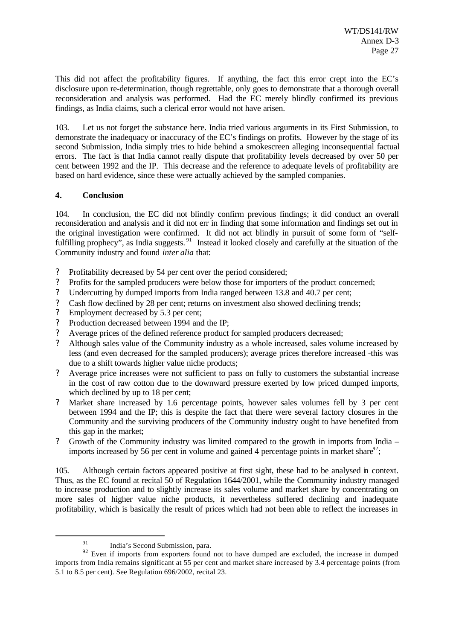This did not affect the profitability figures. If anything, the fact this error crept into the EC's disclosure upon re-determination, though regrettable, only goes to demonstrate that a thorough overall reconsideration and analysis was performed. Had the EC merely blindly confirmed its previous findings, as India claims, such a clerical error would not have arisen.

103. Let us not forget the substance here. India tried various arguments in its First Submission, to demonstrate the inadequacy or inaccuracy of the EC's findings on profits. However by the stage of its second Submission, India simply tries to hide behind a smokescreen alleging inconsequential factual errors. The fact is that India cannot really dispute that profitability levels decreased by over 50 per cent between 1992 and the IP. This decrease and the reference to adequate levels of profitability are based on hard evidence, since these were actually achieved by the sampled companies.

#### **4. Conclusion**

104. In conclusion, the EC did not blindly confirm previous findings; it did conduct an overall reconsideration and analysis and it did not err in finding that some information and findings set out in the original investigation were confirmed. It did not act blindly in pursuit of some form of "selffulfilling prophecy", as India suggests.<sup>91</sup> Instead it looked closely and carefully at the situation of the Community industry and found *inter alia* that:

- ? Profitability decreased by 54 per cent over the period considered;
- ? Profits for the sampled producers were below those for importers of the product concerned;
- ? Undercutting by dumped imports from India ranged between 13.8 and 40.7 per cent;
- ? Cash flow declined by 28 per cent; returns on investment also showed declining trends;
- ? Employment decreased by 5.3 per cent;
- ? Production decreased between 1994 and the IP;
- ? Average prices of the defined reference product for sampled producers decreased;
- ? Although sales value of the Community industry as a whole increased, sales volume increased by less (and even decreased for the sampled producers); average prices therefore increased -this was due to a shift towards higher value niche products;
- ? Average price increases were not sufficient to pass on fully to customers the substantial increase in the cost of raw cotton due to the downward pressure exerted by low priced dumped imports, which declined by up to 18 per cent;
- ? Market share increased by 1.6 percentage points, however sales volumes fell by 3 per cent between 1994 and the IP; this is despite the fact that there were several factory closures in the Community and the surviving producers of the Community industry ought to have benefited from this gap in the market;
- ? Growth of the Community industry was limited compared to the growth in imports from India imports increased by 56 per cent in volume and gained 4 percentage points in market share $^{92}$ ;

105. Although certain factors appeared positive at first sight, these had to be analysed in context. Thus, as the EC found at recital 50 of Regulation 1644/2001, while the Community industry managed to increase production and to slightly increase its sales volume and market share by concentrating on more sales of higher value niche products, it nevertheless suffered declining and inadequate profitability, which is basically the result of prices which had not been able to reflect the increases in

<sup>&</sup>lt;sup>91</sup> India's Second Submission, para.

 $92$  Even if imports from exporters found not to have dumped are excluded, the increase in dumped imports from India remains significant at 55 per cent and market share increased by 3.4 percentage points (from 5.1 to 8.5 per cent). See Regulation 696/2002, recital 23.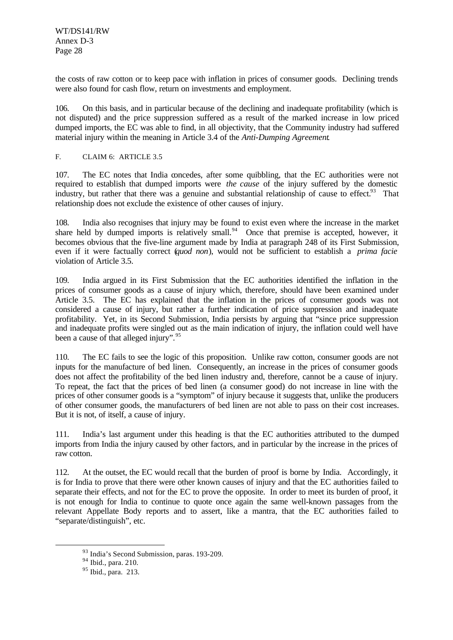the costs of raw cotton or to keep pace with inflation in prices of consumer goods. Declining trends were also found for cash flow, return on investments and employment.

106. On this basis, and in particular because of the declining and inadequate profitability (which is not disputed) and the price suppression suffered as a result of the marked increase in low priced dumped imports, the EC was able to find, in all objectivity, that the Community industry had suffered material injury within the meaning in Article 3.4 of the *Anti-Dumping Agreement*.

#### F. CLAIM 6: ARTICLE 3.5

107. The EC notes that India concedes, after some quibbling, that the EC authorities were not required to establish that dumped imports were *the cause* of the injury suffered by the domestic industry, but rather that there was a genuine and substantial relationship of cause to effect.<sup>93</sup> That relationship does not exclude the existence of other causes of injury.

108. India also recognises that injury may be found to exist even where the increase in the market share held by dumped imports is relatively small.<sup>94</sup> Once that premise is accepted, however, it becomes obvious that the five-line argument made by India at paragraph 248 of its First Submission, even if it were factually correct (*quod non*), would not be sufficient to establish a *prima facie* violation of Article 3.5.

109. India argued in its First Submission that the EC authorities identified the inflation in the prices of consumer goods as a cause of injury which, therefore, should have been examined under Article 3.5. The EC has explained that the inflation in the prices of consumer goods was not considered a cause of injury, but rather a further indication of price suppression and inadequate profitability. Yet, in its Second Submission, India persists by arguing that "since price suppression and inadequate profits were singled out as the main indication of injury, the inflation could well have been a cause of that alleged injury".<sup>95</sup>

110. The EC fails to see the logic of this proposition. Unlike raw cotton, consumer goods are not inputs for the manufacture of bed linen. Consequently, an increase in the prices of consumer goods does not affect the profitability of the bed linen industry and, therefore, cannot be a cause of injury. To repeat, the fact that the prices of bed linen (a consumer good) do not increase in line with the prices of other consumer goods is a "symptom" of injury because it suggests that, unlike the producers of other consumer goods, the manufacturers of bed linen are not able to pass on their cost increases. But it is not, of itself, a cause of injury.

111. India's last argument under this heading is that the EC authorities attributed to the dumped imports from India the injury caused by other factors, and in particular by the increase in the prices of raw cotton.

112. At the outset, the EC would recall that the burden of proof is borne by India. Accordingly, it is for India to prove that there were other known causes of injury and that the EC authorities failed to separate their effects, and not for the EC to prove the opposite. In order to meet its burden of proof, it is not enough for India to continue to quote once again the same well-known passages from the relevant Appellate Body reports and to assert, like a mantra, that the EC authorities failed to "separate/distinguish", etc.

<sup>93</sup> India's Second Submission, paras. 193-209.

 $94$  Ibid., para. 210.

 $95$  Ibid., para. 213.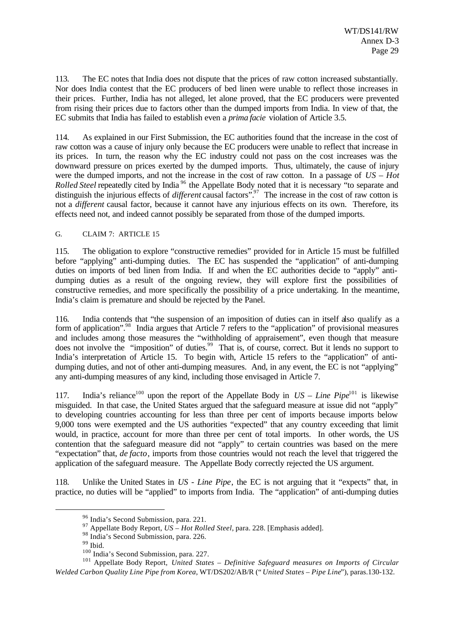113. The EC notes that India does not dispute that the prices of raw cotton increased substantially. Nor does India contest that the EC producers of bed linen were unable to reflect those increases in their prices. Further, India has not alleged, let alone proved, that the EC producers were prevented from rising their prices due to factors other than the dumped imports from India. In view of that, the EC submits that India has failed to establish even a *prima facie* violation of Article 3.5.

114. As explained in our First Submission, the EC authorities found that the increase in the cost of raw cotton was a cause of injury only because the EC producers were unable to reflect that increase in its prices. In turn, the reason why the EC industry could not pass on the cost increases was the downward pressure on prices exerted by the dumped imports. Thus, ultimately, the cause of injury were the dumped imports, and not the increase in the cost of raw cotton. In a passage of *US – Hot Rolled Steel* repeatedly cited by India<sup>96</sup> the Appellate Body noted that it is necessary "to separate and distinguish the injurious effects of *different* causal factors".<sup>97</sup> The increase in the cost of raw cotton is not a *different* causal factor, because it cannot have any injurious effects on its own. Therefore, its effects need not, and indeed cannot possibly be separated from those of the dumped imports.

#### G. CLAIM 7: ARTICLE 15

115. The obligation to explore "constructive remedies" provided for in Article 15 must be fulfilled before "applying" anti-dumping duties. The EC has suspended the "application" of anti-dumping duties on imports of bed linen from India. If and when the EC authorities decide to "apply" antidumping duties as a result of the ongoing review, they will explore first the possibilities of constructive remedies, and more specifically the possibility of a price undertaking. In the meantime, India's claim is premature and should be rejected by the Panel.

116. India contends that "the suspension of an imposition of duties can in itself also qualify as a form of application".<sup>98</sup> India argues that Article 7 refers to the "application" of provisional measures and includes among those measures the "withholding of appraisement", even though that measure does not involve the "imposition" of duties.<sup>99</sup> That is, of course, correct. But it lends no support to India's interpretation of Article 15. To begin with, Article 15 refers to the "application" of antidumping duties, and not of other anti-dumping measures. And, in any event, the EC is not "applying" any anti-dumping measures of any kind, including those envisaged in Article 7.

117. India's reliance<sup>100</sup> upon the report of the Appellate Body in  $US - Line$  Pipe<sup>101</sup> is likewise misguided. In that case, the United States argued that the safeguard measure at issue did not "apply" to developing countries accounting for less than three per cent of imports because imports below 9,000 tons were exempted and the US authorities "expected" that any country exceeding that limit would, in practice, account for more than three per cent of total imports. In other words, the US contention that the safeguard measure did not "apply" to certain countries was based on the mere "expectation" that, *de facto*, imports from those countries would not reach the level that triggered the application of the safeguard measure. The Appellate Body correctly rejected the US argument.

118. Unlike the United States in *US - Line Pipe*, the EC is not arguing that it "expects" that, in practice, no duties will be "applied" to imports from India. The "application" of anti-dumping duties

<sup>96</sup> India's Second Submission, para. 221.

<sup>97</sup> Appellate Body Report, *US – Hot Rolled Steel*, para. 228. [Emphasis added].

<sup>&</sup>lt;sup>98</sup> India's Second Submission, para. 226.

 $^{99}$  Ibid.

<sup>100</sup> India's Second Submission, para. 227.

<sup>101</sup> Appellate Body Report, *United States – Definitive Safeguard measures on Imports of Circular Welded Carbon Quality Line Pipe from Korea*, WT/DS202/AB/R (" *United States – Pipe Line*"), paras.130-132.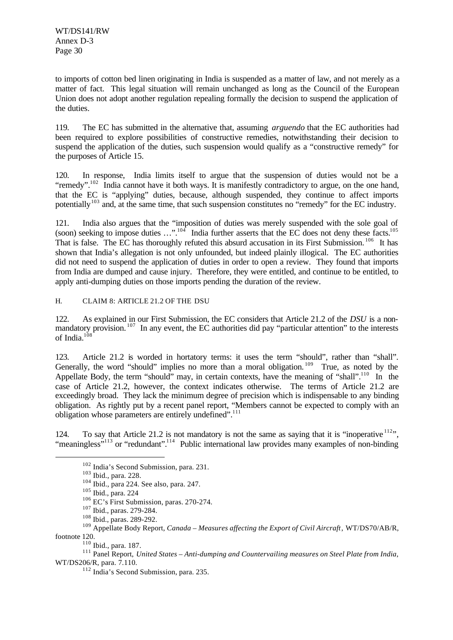to imports of cotton bed linen originating in India is suspended as a matter of law, and not merely as a matter of fact. This legal situation will remain unchanged as long as the Council of the European Union does not adopt another regulation repealing formally the decision to suspend the application of the duties.

119. The EC has submitted in the alternative that, assuming *arguendo* that the EC authorities had been required to explore possibilities of constructive remedies, notwithstanding their decision to suspend the application of the duties, such suspension would qualify as a "constructive remedy" for the purposes of Article 15.

120. In response, India limits itself to argue that the suspension of duties would not be a "remedy".<sup>102</sup> India cannot have it both ways. It is manifestly contradictory to argue, on the one hand, that the EC is "applying" duties, because, although suspended, they continue to affect imports potentially<sup>103</sup> and, at the same time, that such suspension constitutes no "remedy" for the EC industry.

121. India also argues that the "imposition of duties was merely suspended with the sole goal of (soon) seeking to impose duties ...".<sup>104</sup> India further asserts that the EC does not deny these facts.<sup>105</sup> That is false. The EC has thoroughly refuted this absurd accusation in its First Submission.<sup>106</sup> It has shown that India's allegation is not only unfounded, but indeed plainly illogical. The EC authorities did not need to suspend the application of duties in order to open a review. They found that imports from India are dumped and cause injury. Therefore, they were entitled, and continue to be entitled, to apply anti-dumping duties on those imports pending the duration of the review.

H. CLAIM 8: ARTICLE 21.2 OF THE DSU

122. As explained in our First Submission, the EC considers that Article 21.2 of the *DSU* is a nonmandatory provision.<sup>107</sup> In any event, the EC authorities did pay "particular attention" to the interests of India. $^{108}$ 

123. Article 21.2 is worded in hortatory terms: it uses the term "should", rather than "shall". Generally, the word "should" implies no more than a moral obligation.<sup>109</sup> True, as noted by the Appellate Body, the term "should" may, in certain contexts, have the meaning of "shall".<sup>110</sup> In the case of Article 21.2, however, the context indicates otherwise. The terms of Article 21.2 are exceedingly broad. They lack the minimum degree of precision which is indispensable to any binding obligation. As rightly put by a recent panel report, "Members cannot be expected to comply with an obligation whose parameters are entirely undefined".<sup>111</sup>

124. To say that Article 21.2 is not mandatory is not the same as saying that it is "inoperative  $112$ ", "meaningless"<sup>113</sup> or "redundant".<sup>114</sup> Public international law provides many examples of non-binding

<sup>102</sup> India's Second Submission, para. 231.

<sup>103</sup> Ibid., para. 228.

<sup>104</sup> Ibid., para 224. See also, para. 247.

<sup>105</sup> Ibid., para. 224

<sup>&</sup>lt;sup>106</sup> EC's First Submission, paras. 270-274.

<sup>107</sup> Ibid., paras. 279-284.

<sup>108</sup> Ibid., paras. 289-292.

<sup>109</sup> Appellate Body Report, *Canada – Measures affecting the Export of Civil Aircraft*, WT/DS70/AB/R, footnote 120.

<sup>110</sup> Ibid., para. 187.

<sup>111</sup> Panel Report, *United States – Anti-dumping and Countervailing measures on Steel Plate from India*, WT/DS206/R, para. 7.110.

<sup>112</sup> India's Second Submission, para. 235.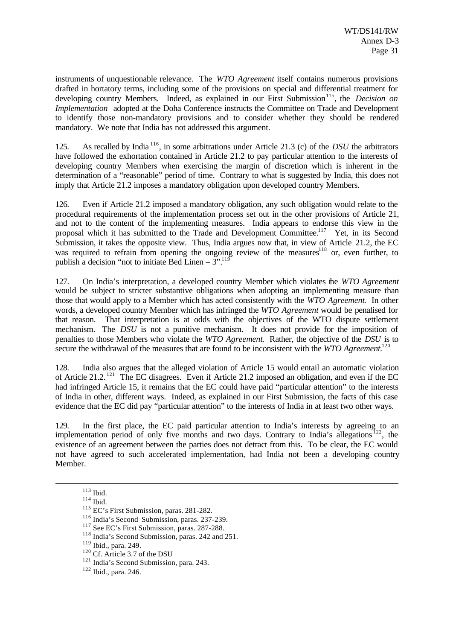instruments of unquestionable relevance. The *WTO Agreement* itself contains numerous provisions drafted in hortatory terms, including some of the provisions on special and differential treatment for developing country Members. Indeed, as explained in our First Submission<sup>115</sup>, the *Decision on Implementation* adopted at the Doha Conference instructs the Committee on Trade and Development to identify those non-mandatory provisions and to consider whether they should be rendered mandatory. We note that India has not addressed this argument.

125. As recalled by India <sup>116</sup>, in some arbitrations under Article 21.3 (c) of the *DSU* the arbitrators have followed the exhortation contained in Article 21.2 to pay particular attention to the interests of developing country Members when exercising the margin of discretion which is inherent in the determination of a "reasonable" period of time. Contrary to what is suggested by India, this does not imply that Article 21.2 imposes a mandatory obligation upon developed country Members.

126. Even if Article 21.2 imposed a mandatory obligation, any such obligation would relate to the procedural requirements of the implementation process set out in the other provisions of Article 21, and not to the content of the implementing measures. India appears to endorse this view in the proposal which it has submitted to the Trade and Development Committee.<sup>117</sup> Yet, in its Second Submission, it takes the opposite view. Thus, India argues now that, in view of Article 21.2, the EC was required to refrain from opening the ongoing review of the measures<sup>118</sup> or, even further, to publish a decision "not to initiate Bed Linen –  $3^{9}$ .<sup>119</sup>

127. On India's interpretation, a developed country Member which violates the *WTO Agreement* would be subject to stricter substantive obligations when adopting an implementing measure than those that would apply to a Member which has acted consistently with the *WTO Agreement*. In other words, a developed country Member which has infringed the *WTO Agreement* would be penalised for that reason. That interpretation is at odds with the objectives of the WTO dispute settlement mechanism. The *DSU* is not a punitive mechanism. It does not provide for the imposition of penalties to those Members who violate the *WTO Agreement*. Rather, the objective of the *DSU* is to secure the withdrawal of the measures that are found to be inconsistent with the *WTO Agreement*.<sup>120</sup>

128. India also argues that the alleged violation of Article 15 would entail an automatic violation of Article 21.2. <sup>121</sup> The EC disagrees. Even if Article 21.2 imposed an obligation, and even if the EC had infringed Article 15, it remains that the EC could have paid "particular attention" to the interests of India in other, different ways. Indeed, as explained in our First Submission, the facts of this case evidence that the EC did pay "particular attention" to the interests of India in at least two other ways.

129. In the first place, the EC paid particular attention to India's interests by agreeing to an implementation period of only five months and two days. Contrary to India's allegations<sup>122</sup>, the existence of an agreement between the parties does not detract from this. To be clear, the EC would not have agreed to such accelerated implementation, had India not been a developing country Member.

<sup>113</sup> Ibid.

 $114$  Ibid.

<sup>115</sup> EC's First Submission, paras. 281-282.

<sup>116</sup> India's Second Submission, paras. 237-239.

<sup>&</sup>lt;sup>117</sup> See EC's First Submission, paras. 287-288.

<sup>118</sup> India's Second Submission, paras. 242 and 251.

<sup>119</sup> Ibid., para. 249.

 $120$  Cf. Article 3.7 of the DSU

<sup>&</sup>lt;sup>121</sup> India's Second Submission, para. 243.

<sup>122</sup> Ibid., para. 246.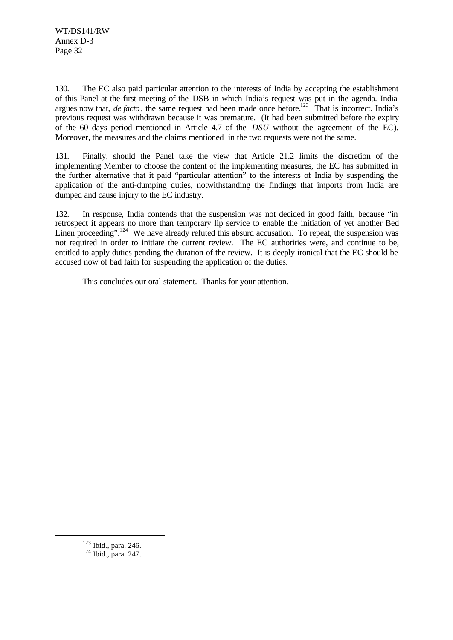130. The EC also paid particular attention to the interests of India by accepting the establishment of this Panel at the first meeting of the DSB in which India's request was put in the agenda. India argues now that, *de facto*, the same request had been made once before.<sup>123</sup> That is incorrect. India's previous request was withdrawn because it was premature. (It had been submitted before the expiry of the 60 days period mentioned in Article 4.7 of the *DSU* without the agreement of the EC). Moreover, the measures and the claims mentioned in the two requests were not the same.

131. Finally, should the Panel take the view that Article 21.2 limits the discretion of the implementing Member to choose the content of the implementing measures, the EC has submitted in the further alternative that it paid "particular attention" to the interests of India by suspending the application of the anti-dumping duties, notwithstanding the findings that imports from India are dumped and cause injury to the EC industry.

132. In response, India contends that the suspension was not decided in good faith, because "in retrospect it appears no more than temporary lip service to enable the initiation of yet another Bed Linen proceeding".<sup>124</sup> We have already refuted this absurd accusation. To repeat, the suspension was not required in order to initiate the current review. The EC authorities were, and continue to be, entitled to apply duties pending the duration of the review. It is deeply ironical that the EC should be accused now of bad faith for suspending the application of the duties.

This concludes our oral statement. Thanks for your attention.

 $123$  Ibid., para. 246.

<sup>124</sup> Ibid., para. 247.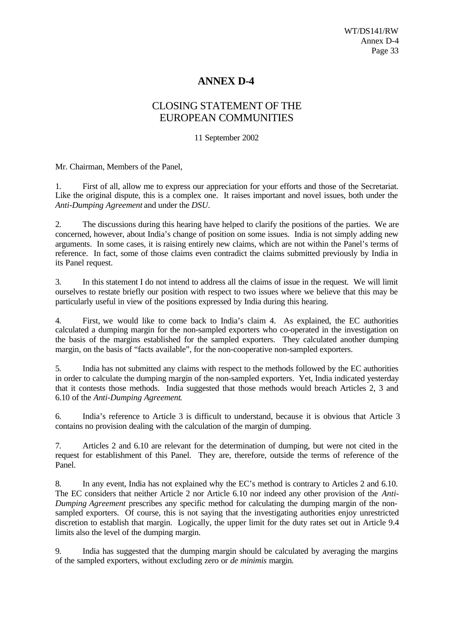## **ANNEX D-4**

## CLOSING STATEMENT OF THE EUROPEAN COMMUNITIES

11 September 2002

Mr. Chairman, Members of the Panel,

1. First of all, allow me to express our appreciation for your efforts and those of the Secretariat. Like the original dispute, this is a complex one. It raises important and novel issues, both under the *Anti-Dumping Agreement* and under the *DSU*.

2. The discussions during this hearing have helped to clarify the positions of the parties. We are concerned, however, about India's change of position on some issues. India is not simply adding new arguments. In some cases, it is raising entirely new claims, which are not within the Panel's terms of reference. In fact, some of those claims even contradict the claims submitted previously by India in its Panel request.

3. In this statement I do not intend to address all the claims of issue in the request. We will limit ourselves to restate briefly our position with respect to two issues where we believe that this may be particularly useful in view of the positions expressed by India during this hearing.

4. First, we would like to come back to India's claim 4. As explained, the EC authorities calculated a dumping margin for the non-sampled exporters who co-operated in the investigation on the basis of the margins established for the sampled exporters. They calculated another dumping margin, on the basis of "facts available", for the non-cooperative non-sampled exporters.

5. India has not submitted any claims with respect to the methods followed by the EC authorities in order to calculate the dumping margin of the non-sampled exporters. Yet, India indicated yesterday that it contests those methods. India suggested that those methods would breach Articles 2, 3 and 6.10 of the *Anti-Dumping Agreement*.

6. India's reference to Article 3 is difficult to understand, because it is obvious that Article 3 contains no provision dealing with the calculation of the margin of dumping.

7. Articles 2 and 6.10 are relevant for the determination of dumping, but were not cited in the request for establishment of this Panel. They are, therefore, outside the terms of reference of the Panel.

8. In any event, India has not explained why the EC's method is contrary to Articles 2 and 6.10. The EC considers that neither Article 2 nor Article 6.10 nor indeed any other provision of the *Anti-Dumping Agreement* prescribes any specific method for calculating the dumping margin of the nonsampled exporters. Of course, this is not saying that the investigating authorities enjoy unrestricted discretion to establish that margin. Logically, the upper limit for the duty rates set out in Article 9.4 limits also the level of the dumping margin.

9. India has suggested that the dumping margin should be calculated by averaging the margins of the sampled exporters, without excluding zero or *de minimis* margin.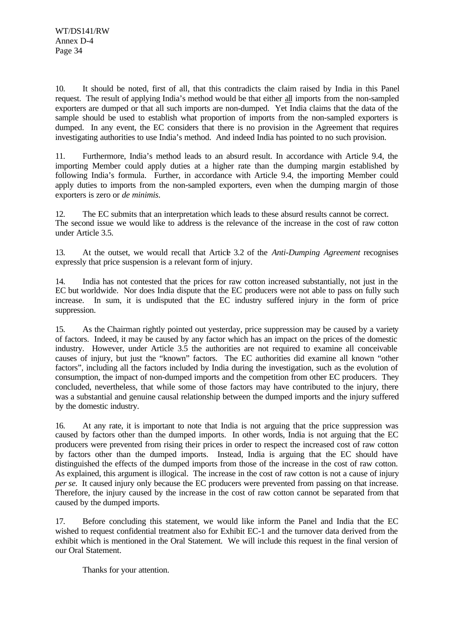10. It should be noted, first of all, that this contradicts the claim raised by India in this Panel request. The result of applying India's method would be that either all imports from the non-sampled exporters are dumped or that all such imports are non-dumped. Yet India claims that the data of the sample should be used to establish what proportion of imports from the non-sampled exporters is dumped. In any event, the EC considers that there is no provision in the Agreement that requires investigating authorities to use India's method. And indeed India has pointed to no such provision.

11. Furthermore, India's method leads to an absurd result. In accordance with Article 9.4, the importing Member could apply duties at a higher rate than the dumping margin established by following India's formula. Further, in accordance with Article 9.4, the importing Member could apply duties to imports from the non-sampled exporters, even when the dumping margin of those exporters is zero or *de minimis*.

12. The EC submits that an interpretation which leads to these absurd results cannot be correct. The second issue we would like to address is the relevance of the increase in the cost of raw cotton under Article 3.5.

13. At the outset, we would recall that Article 3.2 of the *Anti-Dumping Agreement* recognises expressly that price suspension is a relevant form of injury.

14. India has not contested that the prices for raw cotton increased substantially, not just in the EC but worldwide. Nor does India dispute that the EC producers were not able to pass on fully such increase. In sum, it is undisputed that the EC industry suffered injury in the form of price suppression.

15. As the Chairman rightly pointed out yesterday, price suppression may be caused by a variety of factors. Indeed, it may be caused by any factor which has an impact on the prices of the domestic industry. However, under Article 3.5 the authorities are not required to examine all conceivable causes of injury, but just the "known" factors. The EC authorities did examine all known "other factors", including all the factors included by India during the investigation, such as the evolution of consumption, the impact of non-dumped imports and the competition from other EC producers. They concluded, nevertheless, that while some of those factors may have contributed to the injury, there was a substantial and genuine causal relationship between the dumped imports and the injury suffered by the domestic industry.

16. At any rate, it is important to note that India is not arguing that the price suppression was caused by factors other than the dumped imports. In other words, India is not arguing that the EC producers were prevented from rising their prices in order to respect the increased cost of raw cotton by factors other than the dumped imports. Instead, India is arguing that the EC should have distinguished the effects of the dumped imports from those of the increase in the cost of raw cotton. As explained, this argument is illogical. The increase in the cost of raw cotton is not a cause of injury *per se.* It caused injury only because the EC producers were prevented from passing on that increase. Therefore, the injury caused by the increase in the cost of raw cotton cannot be separated from that caused by the dumped imports.

17. Before concluding this statement, we would like inform the Panel and India that the EC wished to request confidential treatment also for Exhibit EC-1 and the turnover data derived from the exhibit which is mentioned in the Oral Statement. We will include this request in the final version of our Oral Statement.

Thanks for your attention.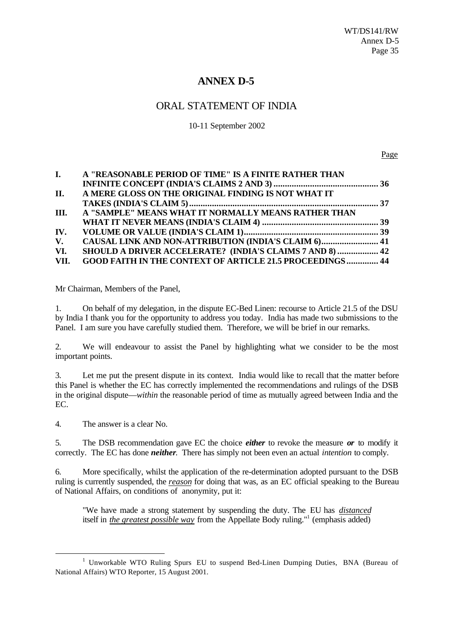## **ANNEX D-5**

## ORAL STATEMENT OF INDIA

10-11 September 2002

Page

|      | I. A "REASONABLE PERIOD OF TIME" IS A FINITE RATHER THAN        |  |
|------|-----------------------------------------------------------------|--|
|      |                                                                 |  |
| II.  | A MERE GLOSS ON THE ORIGINAL FINDING IS NOT WHAT IT             |  |
|      |                                                                 |  |
|      | III. A "SAMPLE" MEANS WHAT IT NORMALLY MEANS RATHER THAN        |  |
|      |                                                                 |  |
| IV.  |                                                                 |  |
| V.   | <b>CAUSAL LINK AND NON-ATTRIBUTION (INDIA'S CLAIM 6) 41</b>     |  |
| VI.  | <b>SHOULD A DRIVER ACCELERATE? (INDIA'S CLAIMS 7 AND 8)  42</b> |  |
| VII. | <b>GOOD FAITH IN THE CONTEXT OF ARTICLE 21.5 PROCEEDINGS 44</b> |  |

Mr Chairman, Members of the Panel,

1. On behalf of my delegation, in the dispute EC-Bed Linen: recourse to Article 21.5 of the DSU by India I thank you for the opportunity to address you today. India has made two submissions to the Panel. I am sure you have carefully studied them. Therefore, we will be brief in our remarks.

2. We will endeavour to assist the Panel by highlighting what we consider to be the most important points.

3. Let me put the present dispute in its context. India would like to recall that the matter before this Panel is whether the EC has correctly implemented the recommendations and rulings of the DSB in the original dispute—*within* the reasonable period of time as mutually agreed between India and the EC.

4. The answer is a clear No.

l

5. The DSB recommendation gave EC the choice *either* to revoke the measure *or* to modify it correctly. The EC has done *neither*. There has simply not been even an actual *intention* to comply.

6. More specifically, whilst the application of the re-determination adopted pursuant to the DSB ruling is currently suspended, the *reason* for doing that was, as an EC official speaking to the Bureau of National Affairs, on conditions of anonymity, put it:

"We have made a strong statement by suspending the duty. The EU has *distanced* itself in *the greatest possible way* from the Appellate Body ruling."<sup>1</sup> (emphasis added)

<sup>&</sup>lt;sup>1</sup> Unworkable WTO Ruling Spurs EU to suspend Bed-Linen Dumping Duties, BNA (Bureau of National Affairs) WTO Reporter, 15 August 2001.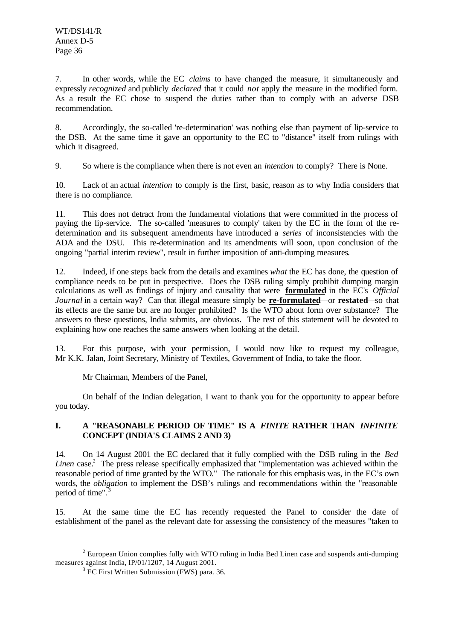7. In other words, while the EC *claims* to have changed the measure, it simultaneously and expressly *recognized* and publicly *declared* that it could *not* apply the measure in the modified form. As a result the EC chose to suspend the duties rather than to comply with an adverse DSB recommendation.

8. Accordingly, the so-called 're-determination' was nothing else than payment of lip-service to the DSB. At the same time it gave an opportunity to the EC to "distance" itself from rulings with which it disagreed.

9. So where is the compliance when there is not even an *intention* to comply? There is None.

10. Lack of an actual *intention* to comply is the first, basic, reason as to why India considers that there is no compliance.

11. This does not detract from the fundamental violations that were committed in the process of paying the lip-service. The so-called 'measures to comply' taken by the EC in the form of the redetermination and its subsequent amendments have introduced a *series* of inconsistencies with the ADA and the DSU. This re-determination and its amendments will soon, upon conclusion of the ongoing "partial interim review", result in further imposition of anti-dumping measures.

12. Indeed, if one steps back from the details and examines *what* the EC has done, the question of compliance needs to be put in perspective. Does the DSB ruling simply prohibit dumping margin calculations as well as findings of injury and causality that were **formulated** in the EC's *Official Journal* in a certain way? Can that illegal measure simply be **re-formulated**—or **restated**—so that its effects are the same but are no longer prohibited? Is the WTO about form over substance? The answers to these questions, India submits, are obvious. The rest of this statement will be devoted to explaining how one reaches the same answers when looking at the detail.

13. For this purpose, with your permission, I would now like to request my colleague, Mr K.K. Jalan, Joint Secretary, Ministry of Textiles, Government of India, to take the floor.

Mr Chairman, Members of the Panel,

On behalf of the Indian delegation, I want to thank you for the opportunity to appear before you today.

## **I. A "REASONABLE PERIOD OF TIME" IS A** *FINITE* **RATHER THAN** *INFINITE* **CONCEPT (INDIA'S CLAIMS 2 AND 3)**

14. On 14 August 2001 the EC declared that it fully complied with the DSB ruling in the *Bed Linen* case. 2 The press release specifically emphasized that "implementation was achieved within the reasonable period of time granted by the WTO." The rationale for this emphasis was, in the EC's own words, the *obligation* to implement the DSB's rulings and recommendations within the "reasonable period of time".

15. At the same time the EC has recently requested the Panel to consider the date of establishment of the panel as the relevant date for assessing the consistency of the measures "taken to

 $2$  European Union complies fully with WTO ruling in India Bed Linen case and suspends anti-dumping measures against India, IP/01/1207, 14 August 2001.

 $3 \text{ EC First Written Submission (FWS) para. } 36.$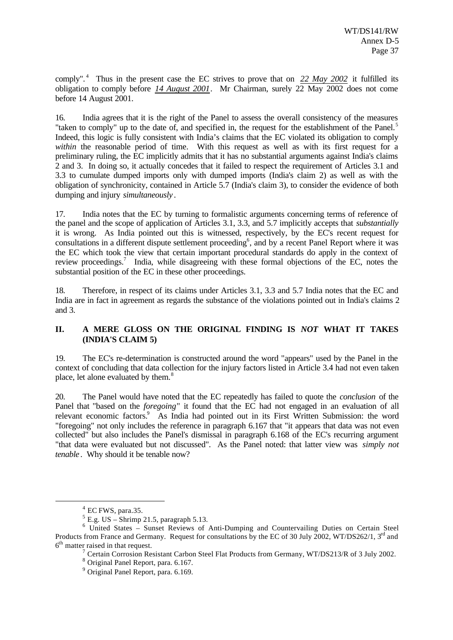comply".<sup>4</sup> Thus in the present case the EC strives to prove that on 22 May 2002 it fulfilled its obligation to comply before *14 August 2001*. Mr Chairman, surely 22 May 2002 does not come before 14 August 2001.

16. India agrees that it is the right of the Panel to assess the overall consistency of the measures "taken to comply" up to the date of, and specified in, the request for the establishment of the Panel.<sup>5</sup> Indeed, this logic is fully consistent with India's claims that the EC violated its obligation to comply *within* the reasonable period of time. With this request as well as with its first request for a preliminary ruling, the EC implicitly admits that it has no substantial arguments against India's claims 2 and 3. In doing so, it actually concedes that it failed to respect the requirement of Articles 3.1 and 3.3 to cumulate dumped imports only with dumped imports (India's claim 2) as well as with the obligation of synchronicity, contained in Article 5.7 (India's claim 3), to consider the evidence of both dumping and injury *simultaneously* .

17. India notes that the EC by turning to formalistic arguments concerning terms of reference of the panel and the scope of application of Articles 3.1, 3.3, and 5.7 implicitly accepts that *substantially* it is wrong. As India pointed out this is witnessed, respectively, by the EC's recent request for consultations in a different dispute settlement proceeding<sup>6</sup>, and by a recent Panel Report where it was the EC which took the view that certain important procedural standards do apply in the context of review proceedings.<sup>7</sup> India, while disagreeing with these formal objections of the EC, notes the substantial position of the EC in these other proceedings.

18. Therefore, in respect of its claims under Articles 3.1, 3.3 and 5.7 India notes that the EC and India are in fact in agreement as regards the substance of the violations pointed out in India's claims 2 and 3.

## **II. A MERE GLOSS ON THE ORIGINAL FINDING IS** *NOT* **WHAT IT TAKES (INDIA'S CLAIM 5)**

19. The EC's re-determination is constructed around the word "appears" used by the Panel in the context of concluding that data collection for the injury factors listed in Article 3.4 had not even taken place, let alone evaluated by them.<sup>8</sup>

20. The Panel would have noted that the EC repeatedly has failed to quote the *conclusion* of the Panel that "based on the *foregoing*" it found that the EC had not engaged in an evaluation of all relevant economic factors.<sup>9</sup> As India had pointed out in its First Written Submission: the word "foregoing" not only includes the reference in paragraph 6.167 that "it appears that data was not even collected" but also includes the Panel's dismissal in paragraph 6.168 of the EC's recurring argument "that data were evaluated but not discussed". As the Panel noted: that latter view was *simply not tenable* . Why should it be tenable now?

 $4$  EC FWS, para.35.

 $<sup>5</sup>$  E.g. US – Shrimp 21.5, paragraph 5.13.</sup>

<sup>&</sup>lt;sup>6</sup> United States – Sunset Reviews of Anti-Dumping and Countervailing Duties on Certain Steel Products from France and Germany. Request for consultations by the EC of 30 July 2002, WT/DS262/1, 3<sup>rd</sup> and  $6<sup>th</sup>$  matter raised in that request.

<sup>&</sup>lt;sup>7</sup> Certain Corrosion Resistant Carbon Steel Flat Products from Germany, WT/DS213/R of 3 July 2002.

<sup>&</sup>lt;sup>8</sup> Original Panel Report, para. 6.167.

<sup>9</sup> Original Panel Report, para. 6.169.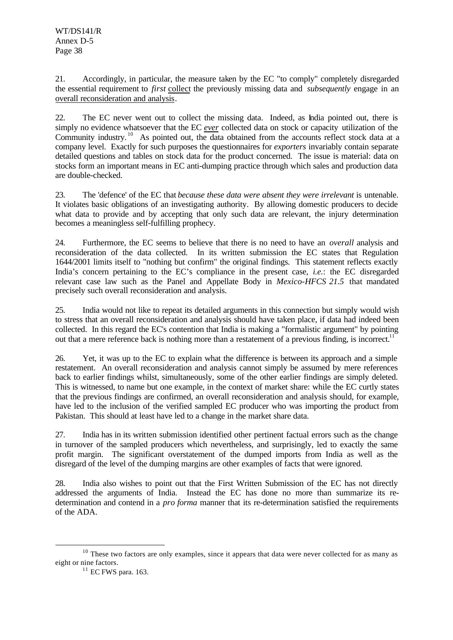21. Accordingly, in particular, the measure taken by the EC "to comply" completely disregarded the essential requirement to *first* collect the previously missing data and *subsequently* engage in an overall reconsideration and analysis.

22. The EC never went out to collect the missing data. Indeed, as India pointed out, there is simply no evidence whatsoever that the EC *ever* collected data on stock or capacity utilization of the Community industry.<sup>10</sup> As pointed out, the data obtained from the accounts reflect stock data at a company level. Exactly for such purposes the questionnaires for *exporters* invariably contain separate detailed questions and tables on stock data for the product concerned. The issue is material: data on stocks form an important means in EC anti-dumping practice through which sales and production data are double-checked.

23. The 'defence' of the EC that *because these data were absent they were irrelevant* is untenable. It violates basic obligations of an investigating authority. By allowing domestic producers to decide what data to provide and by accepting that only such data are relevant, the injury determination becomes a meaningless self-fulfilling prophecy.

24. Furthermore, the EC seems to believe that there is no need to have an *overall* analysis and reconsideration of the data collected. In its written submission the EC states that Regulation 1644/2001 limits itself to "nothing but confirm" the original findings. This statement reflects exactly India's concern pertaining to the EC's compliance in the present case, *i.e.*: the EC disregarded relevant case law such as the Panel and Appellate Body in *Mexico-HFCS 21.5* that mandated precisely such overall reconsideration and analysis.

25. India would not like to repeat its detailed arguments in this connection but simply would wish to stress that an overall reconsideration and analysis should have taken place, if data had indeed been collected. In this regard the EC's contention that India is making a "formalistic argument" by pointing out that a mere reference back is nothing more than a restatement of a previous finding, is incorrect.<sup>11</sup>

26. Yet, it was up to the EC to explain what the difference is between its approach and a simple restatement. An overall reconsideration and analysis cannot simply be assumed by mere references back to earlier findings whilst, simultaneously, some of the other earlier findings are simply deleted. This is witnessed, to name but one example, in the context of market share: while the EC curtly states that the previous findings are confirmed, an overall reconsideration and analysis should, for example, have led to the inclusion of the verified sampled EC producer who was importing the product from Pakistan. This should at least have led to a change in the market share data.

27. India has in its written submission identified other pertinent factual errors such as the change in turnover of the sampled producers which nevertheless, and surprisingly, led to exactly the same profit margin. The significant overstatement of the dumped imports from India as well as the disregard of the level of the dumping margins are other examples of facts that were ignored.

28. India also wishes to point out that the First Written Submission of the EC has not directly addressed the arguments of India. Instead the EC has done no more than summarize its redetermination and contend in a *pro forma* manner that its re-determination satisfied the requirements of the ADA.

<sup>&</sup>lt;sup>10</sup> These two factors are only examples, since it appears that data were never collected for as many as eight or nine factors.

<sup>&</sup>lt;sup>11</sup> EC FWS para. 163.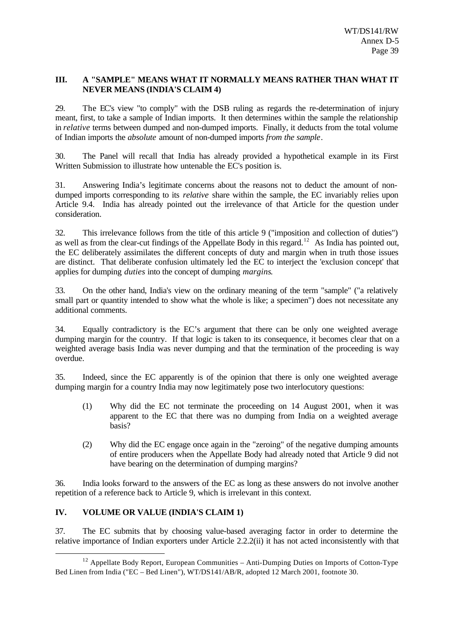#### **III. A "SAMPLE" MEANS WHAT IT NORMALLY MEANS RATHER THAN WHAT IT NEVER MEANS (INDIA'S CLAIM 4)**

29. The EC's view "to comply" with the DSB ruling as regards the re-determination of injury meant, first, to take a sample of Indian imports. It then determines within the sample the relationship in *relative* terms between dumped and non-dumped imports. Finally, it deducts from the total volume of Indian imports the *absolute* amount of non-dumped imports *from the sample*.

30. The Panel will recall that India has already provided a hypothetical example in its First Written Submission to illustrate how untenable the EC's position is.

31. Answering India's legitimate concerns about the reasons not to deduct the amount of nondumped imports corresponding to its *relative* share within the sample, the EC invariably relies upon Article 9.4. India has already pointed out the irrelevance of that Article for the question under consideration.

32. This irrelevance follows from the title of this article 9 ("imposition and collection of duties") as well as from the clear-cut findings of the Appellate Body in this regard.<sup>12</sup> As India has pointed out, the EC deliberately assimilates the different concepts of duty and margin when in truth those issues are distinct. That deliberate confusion ultimately led the EC to interject the 'exclusion concept' that applies for dumping *duties* into the concept of dumping *margins*.

33. On the other hand, India's view on the ordinary meaning of the term "sample" ("a relatively small part or quantity intended to show what the whole is like; a specimen") does not necessitate any additional comments.

34. Equally contradictory is the EC's argument that there can be only one weighted average dumping margin for the country. If that logic is taken to its consequence, it becomes clear that on a weighted average basis India was never dumping and that the termination of the proceeding is way overdue.

35. Indeed, since the EC apparently is of the opinion that there is only one weighted average dumping margin for a country India may now legitimately pose two interlocutory questions:

- (1) Why did the EC not terminate the proceeding on 14 August 2001, when it was apparent to the EC that there was no dumping from India on a weighted average basis?
- (2) Why did the EC engage once again in the "zeroing" of the negative dumping amounts of entire producers when the Appellate Body had already noted that Article 9 did not have bearing on the determination of dumping margins?

36. India looks forward to the answers of the EC as long as these answers do not involve another repetition of a reference back to Article 9, which is irrelevant in this context.

## **IV. VOLUME OR VALUE (INDIA'S CLAIM 1)**

l

37. The EC submits that by choosing value-based averaging factor in order to determine the relative importance of Indian exporters under Article 2.2.2(ii) it has not acted inconsistently with that

 $12$  Appellate Body Report, European Communities – Anti-Dumping Duties on Imports of Cotton-Type Bed Linen from India ("EC – Bed Linen"), WT/DS141/AB/R, adopted 12 March 2001, footnote 30.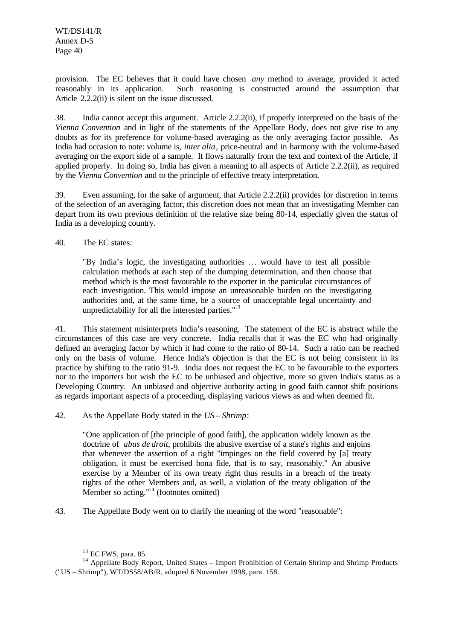WT/DS141/R Annex D-5 Page 40

provision. The EC believes that it could have chosen *any* method to average, provided it acted reasonably in its application. Such reasoning is constructed around the assumption that Article 2.2.2(ii) is silent on the issue discussed.

38. India cannot accept this argument. Article 2.2.2(ii), if properly interpreted on the basis of the *Vienna Convention* and in light of the statements of the Appellate Body, does not give rise to any doubts as for its preference for volume-based averaging as the only averaging factor possible. As India had occasion to note: volume is, *inter alia*, price-neutral and in harmony with the volume-based averaging on the export side of a sample. It flows naturally from the text and context of the Article, if applied properly. In doing so, India has given a meaning to all aspects of Article 2.2.2(ii), as required by the *Vienna Convention* and to the principle of effective treaty interpretation.

39. Even assuming, for the sake of argument, that Article 2.2.2(ii) provides for discretion in terms of the selection of an averaging factor, this discretion does not mean that an investigating Member can depart from its own previous definition of the relative size being 80-14, especially given the status of India as a developing country.

40. The EC states:

"By India's logic, the investigating authorities … would have to test all possible calculation methods at each step of the dumping determination, and then choose that method which is the most favourable to the exporter in the particular circumstances of each investigation. This would impose an unreasonable burden on the investigating authorities and, at the same time, be a source of unacceptable legal uncertainty and unpredictability for all the interested parties. $"^{13}$ 

41. This statement misinterprets India's reasoning. The statement of the EC is abstract while the circumstances of this case are very concrete. India recalls that it was the EC who had originally defined an averaging factor by which it had come to the ratio of 80-14. Such a ratio can be reached only on the basis of volume. Hence India's objection is that the EC is not being consistent in its practice by shifting to the ratio 91-9. India does not request the EC to be favourable to the exporters nor to the importers but wish the EC to be unbiased and objective, more so given India's status as a Developing Country. An unbiased and objective authority acting in good faith cannot shift positions as regards important aspects of a proceeding, displaying various views as and when deemed fit.

42. As the Appellate Body stated in the *US – Shrimp*:

"One application of [the principle of good faith], the application widely known as the doctrine of *abus de droit*, prohibits the abusive exercise of a state's rights and enjoins that whenever the assertion of a right "impinges on the field covered by [a] treaty obligation, it must be exercised bona fide, that is to say, reasonably." An abusive exercise by a Member of its own treaty right thus results in a breach of the treaty rights of the other Members and, as well, a violation of the treaty obligation of the Member so acting. $114$  (footnotes omitted)

43. The Appellate Body went on to clarify the meaning of the word "reasonable":

 $13$  EC FWS, para. 85.

<sup>&</sup>lt;sup>14</sup> Appellate Body Report, United States – Import Prohibition of Certain Shrimp and Shrimp Products ("US – Shrimp"), WT/DS58/AB/R, adopted 6 November 1998, para. 158.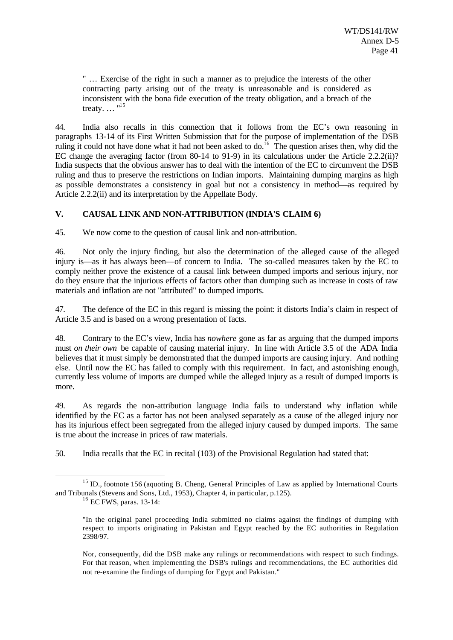" … Exercise of the right in such a manner as to prejudice the interests of the other contracting party arising out of the treaty is unreasonable and is considered as inconsistent with the bona fide execution of the treaty obligation, and a breach of the treaty.  $\ldots$  "<sup>15</sup>

44. India also recalls in this connection that it follows from the EC's own reasoning in paragraphs 13-14 of its First Written Submission that for the purpose of implementation of the DSB ruling it could not have done what it had not been asked to do.<sup>16</sup> The question arises then, why did the EC change the averaging factor (from 80-14 to 91-9) in its calculations under the Article 2.2.2(ii)? India suspects that the obvious answer has to deal with the intention of the EC to circumvent the DSB ruling and thus to preserve the restrictions on Indian imports. Maintaining dumping margins as high as possible demonstrates a consistency in goal but not a consistency in method—as required by Article 2.2.2(ii) and its interpretation by the Appellate Body.

## **V. CAUSAL LINK AND NON-ATTRIBUTION (INDIA'S CLAIM 6)**

45. We now come to the question of causal link and non-attribution.

46. Not only the injury finding, but also the determination of the alleged cause of the alleged injury is—as it has always been—of concern to India. The so-called measures taken by the EC to comply neither prove the existence of a causal link between dumped imports and serious injury, nor do they ensure that the injurious effects of factors other than dumping such as increase in costs of raw materials and inflation are not "attributed" to dumped imports.

47. The defence of the EC in this regard is missing the point: it distorts India's claim in respect of Article 3.5 and is based on a wrong presentation of facts.

48. Contrary to the EC's view, India has *nowhere* gone as far as arguing that the dumped imports must *on their own* be capable of causing material injury. In line with Article 3.5 of the ADA India believes that it must simply be demonstrated that the dumped imports are causing injury. And nothing else. Until now the EC has failed to comply with this requirement. In fact, and astonishing enough, currently less volume of imports are dumped while the alleged injury as a result of dumped imports is more.

49. As regards the non-attribution language India fails to understand why inflation while identified by the EC as a factor has not been analysed separately as a cause of the alleged injury nor has its injurious effect been segregated from the alleged injury caused by dumped imports. The same is true about the increase in prices of raw materials.

50. India recalls that the EC in recital (103) of the Provisional Regulation had stated that:

l

Nor, consequently, did the DSB make any rulings or recommendations with respect to such findings. For that reason, when implementing the DSB's rulings and recommendations, the EC authorities did not re-examine the findings of dumping for Egypt and Pakistan."

<sup>&</sup>lt;sup>15</sup> ID., footnote 156 (aquoting B. Cheng, General Principles of Law as applied by International Courts and Tribunals (Stevens and Sons, Ltd., 1953), Chapter 4, in particular, p.125).

<sup>&</sup>lt;sup>16</sup> EC FWS, paras. 13-14:

<sup>&</sup>quot;In the original panel proceeding India submitted no claims against the findings of dumping with respect to imports originating in Pakistan and Egypt reached by the EC authorities in Regulation 2398/97.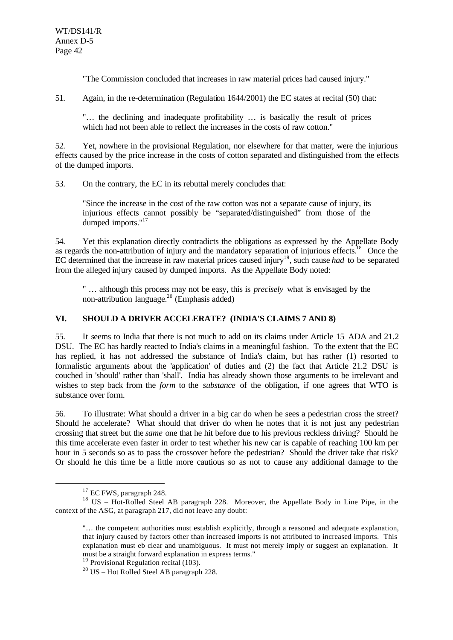"The Commission concluded that increases in raw material prices had caused injury."

51. Again, in the re-determination (Regulation 1644/2001) the EC states at recital (50) that:

"… the declining and inadequate profitability … is basically the result of prices which had not been able to reflect the increases in the costs of raw cotton."

52. Yet, nowhere in the provisional Regulation, nor elsewhere for that matter, were the injurious effects caused by the price increase in the costs of cotton separated and distinguished from the effects of the dumped imports.

53. On the contrary, the EC in its rebuttal merely concludes that:

"Since the increase in the cost of the raw cotton was not a separate cause of injury, its injurious effects cannot possibly be "separated/distinguished" from those of the dumped imports."<sup>17</sup>

54. Yet this explanation directly contradicts the obligations as expressed by the Appellate Body as regards the non-attribution of injury and the mandatory separation of injurious effects.<sup>18</sup> Once the EC determined that the increase in raw material prices caused injury<sup>19</sup>, such cause *had* to be separated from the alleged injury caused by dumped imports. As the Appellate Body noted:

" … although this process may not be easy, this is *precisely* what is envisaged by the non-attribution language.<sup>20</sup> (Emphasis added)

## **VI. SHOULD A DRIVER ACCELERATE? (INDIA'S CLAIMS 7 AND 8)**

55. It seems to India that there is not much to add on its claims under Article 15 ADA and 21.2 DSU. The EC has hardly reacted to India's claims in a meaningful fashion. To the extent that the EC has replied, it has not addressed the substance of India's claim, but has rather (1) resorted to formalistic arguments about the 'application' of duties and (2) the fact that Article 21.2 DSU is couched in 'should' rather than 'shall'. India has already shown those arguments to be irrelevant and wishes to step back from the *form* to the *substance* of the obligation, if one agrees that WTO is substance over form.

56. To illustrate: What should a driver in a big car do when he sees a pedestrian cross the street? Should he accelerate? What should that driver do when he notes that it is not just any pedestrian crossing that street but the *same* one that he hit before due to his previous reckless driving? Should he this time accelerate even faster in order to test whether his new car is capable of reaching 100 km per hour in 5 seconds so as to pass the crossover before the pedestrian? Should the driver take that risk? Or should he this time be a little more cautious so as not to cause any additional damage to the

<sup>&</sup>lt;sup>17</sup> EC FWS, paragraph 248.

<sup>18</sup> US – Hot-Rolled Steel AB paragraph 228. Moreover, the Appellate Body in Line Pipe, in the context of the ASG, at paragraph 217, did not leave any doubt:

<sup>&</sup>quot;… the competent authorities must establish explicitly, through a reasoned and adequate explanation, that injury caused by factors other than increased imports is not attributed to increased imports. This explanation must eb clear and unambiguous. It must not merely imply or suggest an explanation. It must be a straight forward explanation in express terms."

 $19$  Provisional Regulation recital (103).

<sup>20</sup> US – Hot Rolled Steel AB paragraph 228.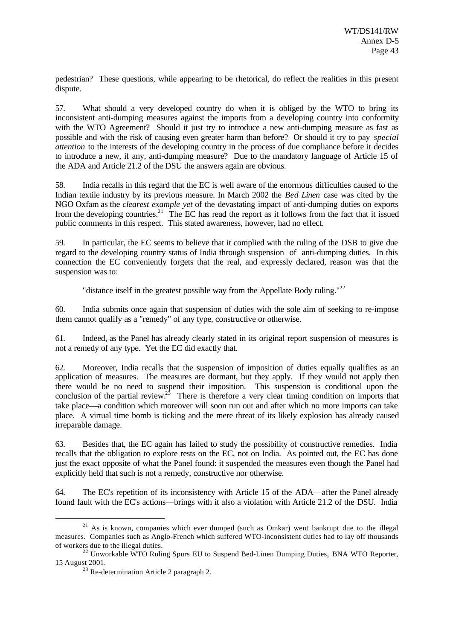pedestrian? These questions, while appearing to be rhetorical, do reflect the realities in this present dispute.

57. What should a very developed country do when it is obliged by the WTO to bring its inconsistent anti-dumping measures against the imports from a developing country into conformity with the WTO Agreement? Should it just try to introduce a new anti-dumping measure as fast as possible and with the risk of causing even greater harm than before? Or should it try to pay *special attention* to the interests of the developing country in the process of due compliance before it decides to introduce a new, if any, anti-dumping measure? Due to the mandatory language of Article 15 of the ADA and Article 21.2 of the DSU the answers again are obvious.

58. India recalls in this regard that the EC is well aware of the enormous difficulties caused to the Indian textile industry by its previous measure. In March 2002 the *Bed Linen* case was cited by the NGO Oxfam as the *clearest example yet* of the devastating impact of anti-dumping duties on exports from the developing countries.<sup>21</sup> The EC has read the report as it follows from the fact that it issued public comments in this respect. This stated awareness, however, had no effect.

59. In particular, the EC seems to believe that it complied with the ruling of the DSB to give due regard to the developing country status of India through suspension of anti-dumping duties. In this connection the EC conveniently forgets that the real, and expressly declared, reason was that the suspension was to:

"distance itself in the greatest possible way from the Appellate Body ruling."<sup>22</sup>

60. India submits once again that suspension of duties with the sole aim of seeking to re-impose them cannot qualify as a "remedy" of any type, constructive or otherwise.

61. Indeed, as the Panel has already clearly stated in its original report suspension of measures is not a remedy of any type. Yet the EC did exactly that.

62. Moreover, India recalls that the suspension of imposition of duties equally qualifies as an application of measures. The measures are dormant, but they apply. If they would not apply then there would be no need to suspend their imposition. This suspension is conditional upon the conclusion of the partial review.<sup>23</sup> There is therefore a very clear timing condition on imports that take place—a condition which moreover will soon run out and after which no more imports can take place. A virtual time bomb is ticking and the mere threat of its likely explosion has already caused irreparable damage.

63. Besides that, the EC again has failed to study the possibility of constructive remedies. India recalls that the obligation to explore rests on the EC, not on India. As pointed out, the EC has done just the exact opposite of what the Panel found: it suspended the measures even though the Panel had explicitly held that such is not a remedy, constructive nor otherwise.

64. The EC's repetition of its inconsistency with Article 15 of the ADA—after the Panel already found fault with the EC's actions—brings with it also a violation with Article 21.2 of the DSU. India

 $21$  As is known, companies which ever dumped (such as Omkar) went bankrupt due to the illegal measures. Companies such as Anglo-French which suffered WTO-inconsistent duties had to lay off thousands of workers due to the illegal duties.

 $22$  Unworkable WTO Ruling Spurs EU to Suspend Bed-Linen Dumping Duties, BNA WTO Reporter, 15 August 2001.

<sup>&</sup>lt;sup>23</sup> Re-determination Article 2 paragraph 2.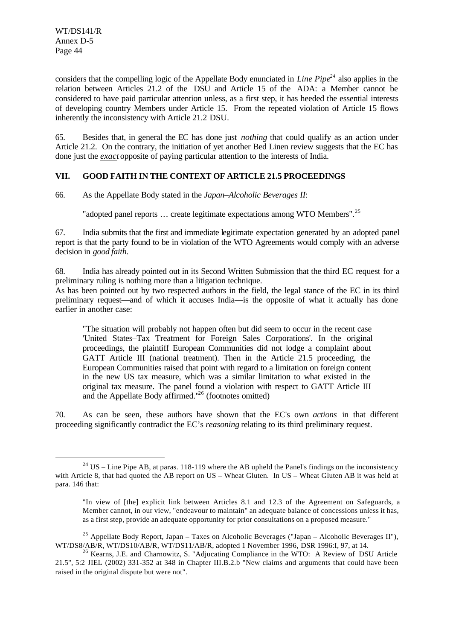WT/DS141/R Annex D-5 Page 44

l

considers that the compelling logic of the Appellate Body enunciated in *Line Pipe<sup>24</sup>* also applies in the relation between Articles 21.2 of the DSU and Article 15 of the ADA: a Member cannot be considered to have paid particular attention unless, as a first step, it has heeded the essential interests of developing country Members under Article 15. From the repeated violation of Article 15 flows inherently the inconsistency with Article 21.2 DSU.

65. Besides that, in general the EC has done just *nothing* that could qualify as an action under Article 21.2. On the contrary, the initiation of yet another Bed Linen review suggests that the EC has done just the *exact* opposite of paying particular attention to the interests of India.

## **VII. GOOD FAITH IN THE CONTEXT OF ARTICLE 21.5 PROCEEDINGS**

66. As the Appellate Body stated in the *Japan–Alcoholic Beverages II*:

"adopted panel reports ... create legitimate expectations among WTO Members".<sup>25</sup>

67. India submits that the first and immediate legitimate expectation generated by an adopted panel report is that the party found to be in violation of the WTO Agreements would comply with an adverse decision in *good faith*.

68. India has already pointed out in its Second Written Submission that the third EC request for a preliminary ruling is nothing more than a litigation technique.

As has been pointed out by two respected authors in the field, the legal stance of the EC in its third preliminary request—and of which it accuses India—is the opposite of what it actually has done earlier in another case:

"The situation will probably not happen often but did seem to occur in the recent case 'United States–Tax Treatment for Foreign Sales Corporations'. In the original proceedings, the plaintiff European Communities did not lodge a complaint about GATT Article III (national treatment). Then in the Article 21.5 proceeding, the European Communities raised that point with regard to a limitation on foreign content in the new US tax measure, which was a similar limitation to what existed in the original tax measure. The panel found a violation with respect to GATT Article III and the Appellate Body affirmed."<sup>26</sup> (footnotes omitted)

70. As can be seen, these authors have shown that the EC's own *actions* in that different proceeding significantly contradict the EC's *reasoning* relating to its third preliminary request.

<sup>&</sup>lt;sup>24</sup> US – Line Pipe AB, at paras. 118-119 where the AB upheld the Panel's findings on the inconsistency with Article 8, that had quoted the AB report on US – Wheat Gluten. In US – Wheat Gluten AB it was held at para. 146 that:

<sup>&</sup>quot;In view of [the] explicit link between Articles 8.1 and 12.3 of the Agreement on Safeguards, a Member cannot, in our view, "endeavour to maintain" an adequate balance of concessions unless it has, as a first step, provide an adequate opportunity for prior consultations on a proposed measure."

<sup>&</sup>lt;sup>25</sup> Appellate Body Report, Japan – Taxes on Alcoholic Beverages ("Japan – Alcoholic Beverages II"), WT/DS8/AB/R, WT/DS10/AB/R, WT/DS11/AB/R, adopted 1 November 1996, DSR 1996:I, 97, at 14.

 $^{26}$  Kearns, J.E. and Charnowitz, S. "Adjucating Compliance in the WTO: A Review of DSU Article 21.5", 5:2 JIEL (2002) 331-352 at 348 in Chapter III.B.2.b "New claims and arguments that could have been raised in the original dispute but were not".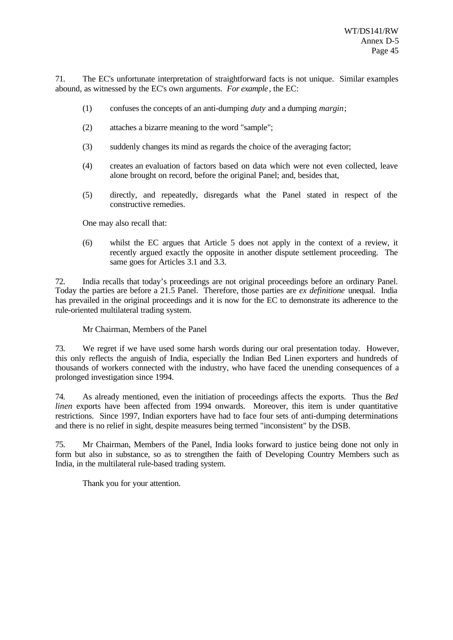71. The EC's unfortunate interpretation of straightforward facts is not unique. Similar examples abound, as witnessed by the EC's own arguments. *For example*, the EC:

- (1) confuses the concepts of an anti-dumping *duty* and a dumping *margin*;
- (2) attaches a bizarre meaning to the word "sample";
- (3) suddenly changes its mind as regards the choice of the averaging factor;
- (4) creates an evaluation of factors based on data which were not even collected, leave alone brought on record, before the original Panel; and, besides that,
- (5) directly, and repeatedly, disregards what the Panel stated in respect of the constructive remedies.

One may also recall that:

(6) whilst the EC argues that Article 5 does not apply in the context of a review, it recently argued exactly the opposite in another dispute settlement proceeding. The same goes for Articles 3.1 and 3.3.

72. India recalls that today's proceedings are not original proceedings before an ordinary Panel. Today the parties are before a 21.5 Panel. Therefore, those parties are *ex definitione* unequal. India has prevailed in the original proceedings and it is now for the EC to demonstrate its adherence to the rule-oriented multilateral trading system.

#### Mr Chairman, Members of the Panel

73. We regret if we have used some harsh words during our oral presentation today. However, this only reflects the anguish of India, especially the Indian Bed Linen exporters and hundreds of thousands of workers connected with the industry, who have faced the unending consequences of a prolonged investigation since 1994.

74. As already mentioned, even the initiation of proceedings affects the exports. Thus the *Bed linen* exports have been affected from 1994 onwards. Moreover, this item is under quantitative restrictions. Since 1997, Indian exporters have had to face four sets of anti-dumping determinations and there is no relief in sight, despite measures being termed "inconsistent" by the DSB.

75. Mr Chairman, Members of the Panel, India looks forward to justice being done not only in form but also in substance, so as to strengthen the faith of Developing Country Members such as India, in the multilateral rule-based trading system.

Thank you for your attention.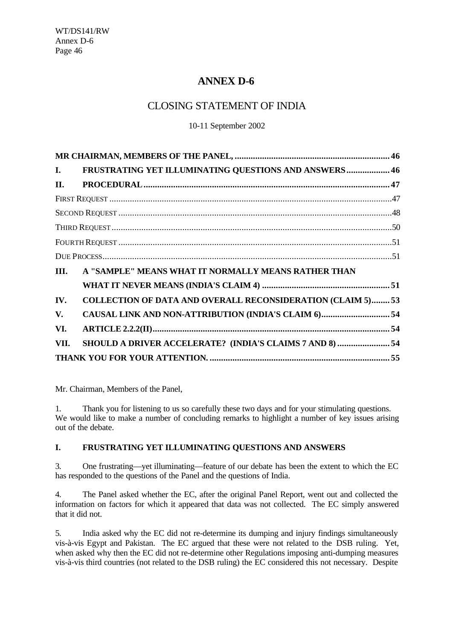## **ANNEX D-6**

## CLOSING STATEMENT OF INDIA

10-11 September 2002

| I.   | FRUSTRATING YET ILLUMINATING QUESTIONS AND ANSWERS 46              |
|------|--------------------------------------------------------------------|
| П.   |                                                                    |
|      |                                                                    |
|      |                                                                    |
|      |                                                                    |
|      |                                                                    |
|      |                                                                    |
| III. | A "SAMPLE" MEANS WHAT IT NORMALLY MEANS RATHER THAN                |
|      |                                                                    |
| IV.  | <b>COLLECTION OF DATA AND OVERALL RECONSIDERATION (CLAIM 5) 53</b> |
| V.   |                                                                    |
| VI.  |                                                                    |
| VII. | SHOULD A DRIVER ACCELERATE? (INDIA'S CLAIMS 7 AND 8)  54           |
|      |                                                                    |

Mr. Chairman, Members of the Panel,

1. Thank you for listening to us so carefully these two days and for your stimulating questions. We would like to make a number of concluding remarks to highlight a number of key issues arising out of the debate.

## **I. FRUSTRATING YET ILLUMINATING QUESTIONS AND ANSWERS**

3. One frustrating—yet illuminating—feature of our debate has been the extent to which the EC has responded to the questions of the Panel and the questions of India.

4. The Panel asked whether the EC, after the original Panel Report, went out and collected the information on factors for which it appeared that data was not collected. The EC simply answered that it did not.

5. India asked why the EC did not re-determine its dumping and injury findings simultaneously vis-à-vis Egypt and Pakistan. The EC argued that these were not related to the DSB ruling. Yet, when asked why then the EC did not re-determine other Regulations imposing anti-dumping measures vis-à-vis third countries (not related to the DSB ruling) the EC considered this not necessary. Despite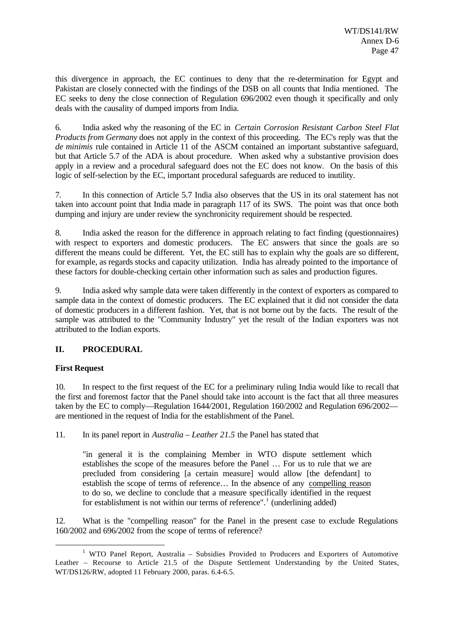this divergence in approach, the EC continues to deny that the re-determination for Egypt and Pakistan are closely connected with the findings of the DSB on all counts that India mentioned. The EC seeks to deny the close connection of Regulation 696/2002 even though it specifically and only deals with the causality of dumped imports from India.

6. India asked why the reasoning of the EC in *Certain Corrosion Resistant Carbon Steel Flat Products from Germany* does not apply in the context of this proceeding. The EC's reply was that the *de minimis* rule contained in Article 11 of the ASCM contained an important substantive safeguard, but that Article 5.7 of the ADA is about procedure. When asked why a substantive provision does apply in a review and a procedural safeguard does not the EC does not know. On the basis of this logic of self-selection by the EC, important procedural safeguards are reduced to inutility.

7. In this connection of Article 5.7 India also observes that the US in its oral statement has not taken into account point that India made in paragraph 117 of its SWS. The point was that once both dumping and injury are under review the synchronicity requirement should be respected.

8. India asked the reason for the difference in approach relating to fact finding (questionnaires) with respect to exporters and domestic producers. The EC answers that since the goals are so different the means could be different. Yet, the EC still has to explain why the goals are so different, for example, as regards stocks and capacity utilization. India has already pointed to the importance of these factors for double-checking certain other information such as sales and production figures.

9. India asked why sample data were taken differently in the context of exporters as compared to sample data in the context of domestic producers. The EC explained that it did not consider the data of domestic producers in a different fashion. Yet, that is not borne out by the facts. The result of the sample was attributed to the "Community Industry" yet the result of the Indian exporters was not attributed to the Indian exports.

## **II. PROCEDURAL**

## **First Request**

l

10. In respect to the first request of the EC for a preliminary ruling India would like to recall that the first and foremost factor that the Panel should take into account is the fact that all three measures taken by the EC to comply—Regulation 1644/2001, Regulation 160/2002 and Regulation 696/2002 are mentioned in the request of India for the establishment of the Panel.

11. In its panel report in *Australia – Leather 21.5* the Panel has stated that

"in general it is the complaining Member in WTO dispute settlement which establishes the scope of the measures before the Panel … For us to rule that we are precluded from considering [a certain measure] would allow [the defendant] to establish the scope of terms of reference… In the absence of any compelling reason to do so, we decline to conclude that a measure specifically identified in the request for establishment is not within our terms of reference".<sup>1</sup> (underlining added)

12. What is the "compelling reason" for the Panel in the present case to exclude Regulations 160/2002 and 696/2002 from the scope of terms of reference?

<sup>&</sup>lt;sup>1</sup> WTO Panel Report, Australia – Subsidies Provided to Producers and Exporters of Automotive Leather – Recourse to Article 21.5 of the Dispute Settlement Understanding by the United States, WT/DS126/RW, adopted 11 February 2000, paras. 6.4-6.5.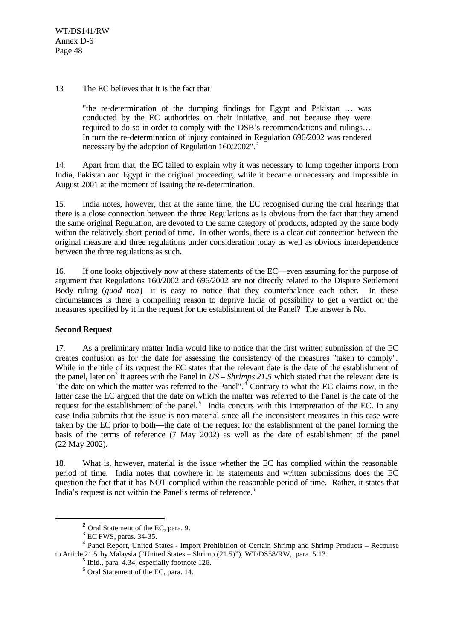#### 13 The EC believes that it is the fact that

"the re-determination of the dumping findings for Egypt and Pakistan … was conducted by the EC authorities on their initiative, and not because they were required to do so in order to comply with the DSB's recommendations and rulings… In turn the re-determination of injury contained in Regulation 696/2002 was rendered necessary by the adoption of Regulation 160/2002".<sup>2</sup>

14. Apart from that, the EC failed to explain why it was necessary to lump together imports from India, Pakistan and Egypt in the original proceeding, while it became unnecessary and impossible in August 2001 at the moment of issuing the re-determination.

15. India notes, however, that at the same time, the EC recognised during the oral hearings that there is a close connection between the three Regulations as is obvious from the fact that they amend the same original Regulation, are devoted to the same category of products, adopted by the same body within the relatively short period of time. In other words, there is a clear-cut connection between the original measure and three regulations under consideration today as well as obvious interdependence between the three regulations as such.

16. If one looks objectively now at these statements of the EC—even assuming for the purpose of argument that Regulations 160/2002 and 696/2002 are not directly related to the Dispute Settlement Body ruling (*quod non*)—it is easy to notice that they counterbalance each other. In these circumstances is there a compelling reason to deprive India of possibility to get a verdict on the measures specified by it in the request for the establishment of the Panel? The answer is No.

## **Second Request**

l

17. As a preliminary matter India would like to notice that the first written submission of the EC creates confusion as for the date for assessing the consistency of the measures "taken to comply". While in the title of its request the EC states that the relevant date is the date of the establishment of the panel, later on<sup>3</sup> it agrees with the Panel in  $US - Shrimps$  21.5 which stated that the relevant date is "the date on which the matter was referred to the Panel".<sup>4</sup> Contrary to what the EC claims now, in the latter case the EC argued that the date on which the matter was referred to the Panel is the date of the request for the establishment of the panel.<sup>5</sup> India concurs with this interpretation of the EC. In any case India submits that the issue is non-material since all the inconsistent measures in this case were taken by the EC prior to both—the date of the request for the establishment of the panel forming the basis of the terms of reference (7 May 2002) as well as the date of establishment of the panel (22 May 2002).

18. What is, however, material is the issue whether the EC has complied within the reasonable period of time. India notes that nowhere in its statements and written submissions does the EC question the fact that it has NOT complied within the reasonable period of time. Rather, it states that India's request is not within the Panel's terms of reference.<sup>6</sup>

<sup>2</sup> Oral Statement of the EC, para. 9.

 $3$  EC FWS, paras. 34-35.

<sup>4</sup> Panel Report, United States - Import Prohibition of Certain Shrimp and Shrimp Products **–** Recourse to Article 21.5 by Malaysia ("United States – Shrimp (21.5)"), WT/DS58/RW, para. 5.13.

<sup>5</sup> Ibid., para. 4.34, especially footnote 126.

<sup>6</sup> Oral Statement of the EC, para. 14.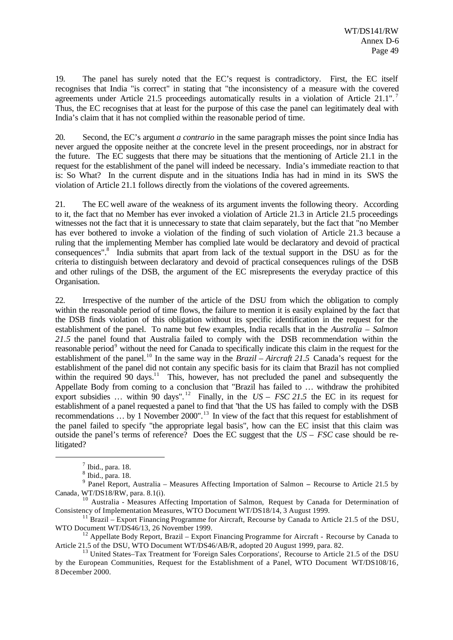19. The panel has surely noted that the EC's request is contradictory. First, the EC itself recognises that India "is correct" in stating that "the inconsistency of a measure with the covered agreements under Article 21.5 proceedings automatically results in a violation of Article 21.1".<sup>7</sup> Thus, the EC recognises that at least for the purpose of this case the panel can legitimately deal with India's claim that it has not complied within the reasonable period of time.

20. Second, the EC's argument *a contrario* in the same paragraph misses the point since India has never argued the opposite neither at the concrete level in the present proceedings, nor in abstract for the future. The EC suggests that there may be situations that the mentioning of Article 21.1 in the request for the establishment of the panel will indeed be necessary. India's immediate reaction to that is: So What? In the current dispute and in the situations India has had in mind in its SWS the violation of Article 21.1 follows directly from the violations of the covered agreements.

21. The EC well aware of the weakness of its argument invents the following theory. According to it, the fact that no Member has ever invoked a violation of Article 21.3 in Article 21.5 proceedings witnesses not the fact that it is unnecessary to state that claim separately, but the fact that "no Member has ever bothered to invoke a violation of the finding of such violation of Article 21.3 because a ruling that the implementing Member has complied late would be declaratory and devoid of practical consequences".<sup>8</sup> India submits that apart from lack of the textual support in the DSU as for the criteria to distinguish between declaratory and devoid of practical consequences rulings of the DSB and other rulings of the DSB, the argument of the EC misrepresents the everyday practice of this Organisation.

22. Irrespective of the number of the article of the DSU from which the obligation to comply within the reasonable period of time flows, the failure to mention it is easily explained by the fact that the DSB finds violation of this obligation without its specific identification in the request for the establishment of the panel. To name but few examples, India recalls that in the *Australia – Salmon 21.5* the panel found that Australia failed to comply with the DSB recommendation within the reasonable period<sup>9</sup> without the need for Canada to specifically indicate this claim in the request for the establishment of the panel.<sup>10</sup> In the same way in the *Brazil – Aircraft 21.5* Canada's request for the establishment of the panel did not contain any specific basis for its claim that Brazil has not complied within the required  $90$  days.<sup>11</sup> This, however, has not precluded the panel and subsequently the Appellate Body from coming to a conclusion that "Brazil has failed to … withdraw the prohibited export subsidies ... within 90 days".<sup>12</sup> Finally, in the  $US - FSC$  21.5 the EC in its request for establishment of a panel requested a panel to find that "that the US has failed to comply with the DSB recommendations  $\therefore$  by 1 November 2000".<sup>13</sup> In view of the fact that this request for establishment of the panel failed to specify "the appropriate legal basis", how can the EC insist that this claim was outside the panel's terms of reference? Does the EC suggest that the *US – FSC* case should be relitigated?

 $<sup>7</sup>$  Ibid., para. 18.</sup>

<sup>8</sup> Ibid., para. 18.

<sup>9</sup> Panel Report, Australia – Measures Affecting Importation of Salmon **–** Recourse to Article 21.5 by Canada, WT/DS18/RW, para. 8.1(i).

<sup>&</sup>lt;sup>10</sup> Australia - Measures Affecting Importation of Salmon, Request by Canada for Determination of Consistency of Implementation Measures, WTO Document WT/DS18/14, 3 August 1999.

 $^{11}$  Brazil – Export Financing Programme for Aircraft, Recourse by Canada to Article 21.5 of the DSU, WTO Document WT/DS46/13, 26 November 1999.

<sup>&</sup>lt;sup>12</sup> Appellate Body Report, Brazil – Export Financing Programme for Aircraft - Recourse by Canada to Article 21.5 of the DSU, WTO Document WT/DS46/AB/R, adopted 20 August 1999, para. 82.

<sup>&</sup>lt;sup>13</sup> United States–Tax Treatment for 'Foreign Sales Corporations', Recourse to Article 21.5 of the DSU by the European Communities, Request for the Establishment of a Panel, WTO Document WT/DS108/16, 8 December 2000.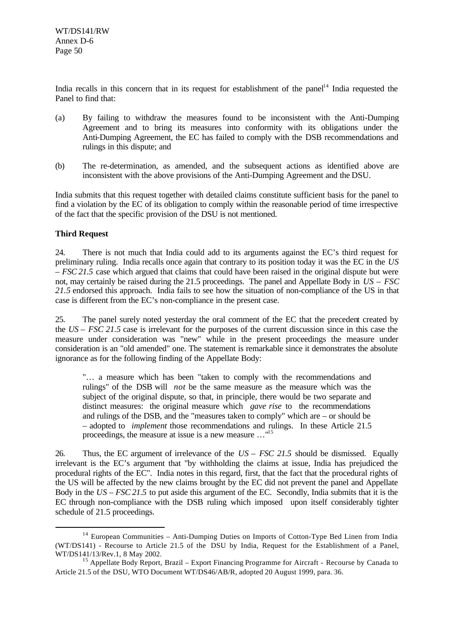India recalls in this concern that in its request for establishment of the panel<sup>14</sup> India requested the Panel to find that:

- (a) By failing to withdraw the measures found to be inconsistent with the Anti-Dumping Agreement and to bring its measures into conformity with its obligations under the Anti-Dumping Agreement, the EC has failed to comply with the DSB recommendations and rulings in this dispute; and
- (b) The re-determination, as amended, and the subsequent actions as identified above are inconsistent with the above provisions of the Anti-Dumping Agreement and the DSU.

India submits that this request together with detailed claims constitute sufficient basis for the panel to find a violation by the EC of its obligation to comply within the reasonable period of time irrespective of the fact that the specific provision of the DSU is not mentioned.

## **Third Request**

l

24. There is not much that India could add to its arguments against the EC's third request for preliminary ruling. India recalls once again that contrary to its position today it was the EC in the *US – FSC 21.5* case which argued that claims that could have been raised in the original dispute but were not, may certainly be raised during the 21.5 proceedings. The panel and Appellate Body in *US – FSC 21.5* endorsed this approach. India fails to see how the situation of non-compliance of the US in that case is different from the EC's non-compliance in the present case.

25. The panel surely noted yesterday the oral comment of the EC that the precedent created by the *US – FSC 21.5* case is irrelevant for the purposes of the current discussion since in this case the measure under consideration was "new" while in the present proceedings the measure under consideration is an "old amended" one. The statement is remarkable since it demonstrates the absolute ignorance as for the following finding of the Appellate Body:

"… a measure which has been "taken to comply with the recommendations and rulings" of the DSB will *not* be the same measure as the measure which was the subject of the original dispute, so that, in principle, there would be two separate and distinct measures: the original measure which *gave rise* to the recommendations and rulings of the DSB, and the "measures taken to comply" which are – or should be – adopted to *implement* those recommendations and rulings. In these Article 21.5 proceedings, the measure at issue is a new measure …"<sup>15</sup>

26. Thus, the EC argument of irrelevance of the *US – FSC 21.5* should be dismissed. Equally irrelevant is the EC's argument that "by withholding the claims at issue, India has prejudiced the procedural rights of the EC". India notes in this regard, first, that the fact that the procedural rights of the US will be affected by the new claims brought by the EC did not prevent the panel and Appellate Body in the *US – FSC 21.5* to put aside this argument of the EC. Secondly, India submits that it is the EC through non-compliance with the DSB ruling which imposed upon itself considerably tighter schedule of 21.5 proceedings.

<sup>&</sup>lt;sup>14</sup> European Communities – Anti-Dumping Duties on Imports of Cotton-Type Bed Linen from India (WT/DS141) - Recourse to Article 21.5 of the DSU by India, Request for the Establishment of a Panel, WT/DS141/13/Rev.1, 8 May 2002.

<sup>&</sup>lt;sup>15</sup> Appellate Body Report, Brazil – Export Financing Programme for Aircraft - Recourse by Canada to Article 21.5 of the DSU, WTO Document WT/DS46/AB/R, adopted 20 August 1999, para. 36.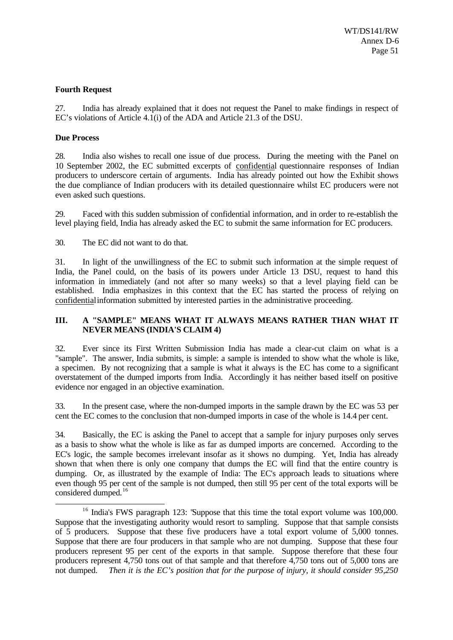#### **Fourth Request**

27. India has already explained that it does not request the Panel to make findings in respect of EC's violations of Article 4.1(i) of the ADA and Article 21.3 of the DSU.

#### **Due Process**

l

28. India also wishes to recall one issue of due process. During the meeting with the Panel on 10 September 2002, the EC submitted excerpts of confidential questionnaire responses of Indian producers to underscore certain of arguments. India has already pointed out how the Exhibit shows the due compliance of Indian producers with its detailed questionnaire whilst EC producers were not even asked such questions.

29. Faced with this sudden submission of confidential information, and in order to re-establish the level playing field, India has already asked the EC to submit the same information for EC producers.

30. The EC did not want to do that.

31. In light of the unwillingness of the EC to submit such information at the simple request of India, the Panel could, on the basis of its powers under Article 13 DSU, request to hand this information in immediately (and not after so many weeks) so that a level playing field can be established. India emphasizes in this context that the EC has started the process of relying on confidential information submitted by interested parties in the administrative proceeding.

#### **III. A "SAMPLE" MEANS WHAT IT ALWAYS MEANS RATHER THAN WHAT IT NEVER MEANS (INDIA'S CLAIM 4)**

32. Ever since its First Written Submission India has made a clear-cut claim on what is a "sample". The answer, India submits, is simple: a sample is intended to show what the whole is like, a specimen. By not recognizing that a sample is what it always is the EC has come to a significant overstatement of the dumped imports from India. Accordingly it has neither based itself on positive evidence nor engaged in an objective examination.

33. In the present case, where the non-dumped imports in the sample drawn by the EC was 53 per cent the EC comes to the conclusion that non-dumped imports in case of the whole is 14.4 per cent.

34. Basically, the EC is asking the Panel to accept that a sample for injury purposes only serves as a basis to show what the whole is like as far as dumped imports are concerned. According to the EC's logic, the sample becomes irrelevant insofar as it shows no dumping. Yet, India has already shown that when there is only one company that dumps the EC will find that the entire country is dumping. Or, as illustrated by the example of India: The EC's approach leads to situations where even though 95 per cent of the sample is not dumped, then still 95 per cent of the total exports will be considered dumped.<sup>16</sup>

<sup>&</sup>lt;sup>16</sup> India's FWS paragraph 123: 'Suppose that this time the total export volume was 100,000. Suppose that the investigating authority would resort to sampling. Suppose that that sample consists of 5 producers. Suppose that these five producers have a total export volume of 5,000 tonnes. Suppose that there are four producers in that sample who are not dumping. Suppose that these four producers represent 95 per cent of the exports in that sample. Suppose therefore that these four producers represent 4,750 tons out of that sample and that therefore 4,750 tons out of 5,000 tons are not dumped. *Then it is the EC's position that for the purpose of injury, it should consider 95,250*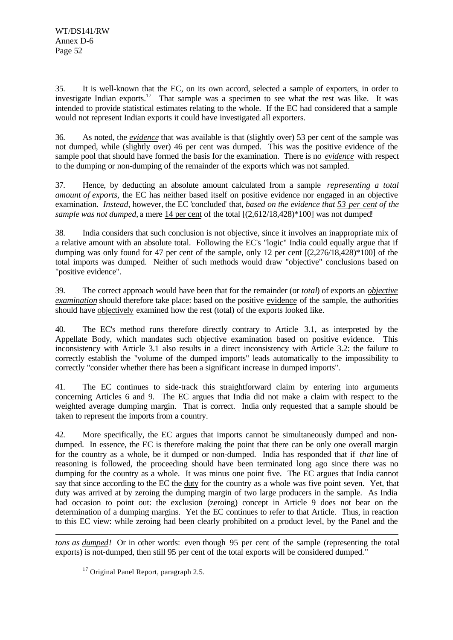35. It is well-known that the EC, on its own accord, selected a sample of exporters, in order to investigate Indian exports.<sup>17</sup> That sample was a specimen to see what the rest was like. It was intended to provide statistical estimates relating to the whole. If the EC had considered that a sample would not represent Indian exports it could have investigated all exporters.

36. As noted, the *evidence* that was available is that (slightly over) 53 per cent of the sample was not dumped, while (slightly over) 46 per cent was dumped. This was the positive evidence of the sample pool that should have formed the basis for the examination. There is no *evidence* with respect to the dumping or non-dumping of the remainder of the exports which was not sampled.

37. Hence, by deducting an absolute amount calculated from a sample *representing a total amount of exports*, the EC has neither based itself on positive evidence nor engaged in an objective examination. *Instead*, however, the EC 'concluded' that, *based on the evidence that 53 per cent of the sample was not dumped*, a mere 14 per cent of the total [(2,612/18,428)\*100] was not dumped!

38. India considers that such conclusion is not objective, since it involves an inappropriate mix of a relative amount with an absolute total. Following the EC's "logic" India could equally argue that if dumping was only found for 47 per cent of the sample, only 12 per cent [(2,276/18,428)\*100] of the total imports was dumped. Neither of such methods would draw "objective" conclusions based on "positive evidence".

39. The correct approach would have been that for the remainder (or *total*) of exports an *objective examination* should therefore take place: based on the positive evidence of the sample, the authorities should have objectively examined how the rest (total) of the exports looked like.

40. The EC's method runs therefore directly contrary to Article 3.1, as interpreted by the Appellate Body, which mandates such objective examination based on positive evidence. This inconsistency with Article 3.1 also results in a direct inconsistency with Article 3.2: the failure to correctly establish the "volume of the dumped imports" leads automatically to the impossibility to correctly "consider whether there has been a significant increase in dumped imports".

41. The EC continues to side-track this straightforward claim by entering into arguments concerning Articles 6 and 9. The EC argues that India did not make a claim with respect to the weighted average dumping margin. That is correct. India only requested that a sample should be taken to represent the imports from a country.

42. More specifically, the EC argues that imports cannot be simultaneously dumped and nondumped. In essence, the EC is therefore making the point that there can be only one overall margin for the country as a whole, be it dumped or non-dumped. India has responded that if *that* line of reasoning is followed, the proceeding should have been terminated long ago since there was no dumping for the country as a whole. It was minus one point five. The EC argues that India cannot say that since according to the EC the duty for the country as a whole was five point seven. Yet, that duty was arrived at by zeroing the dumping margin of two large producers in the sample. As India had occasion to point out: the exclusion (zeroing) concept in Article 9 does not bear on the determination of a dumping margins. Yet the EC continues to refer to that Article. Thus, in reaction to this EC view: while zeroing had been clearly prohibited on a product level, by the Panel and the

l *tons as dumped!* Or in other words: even though 95 per cent of the sample (representing the total exports) is not-dumped, then still 95 per cent of the total exports will be considered dumped."

 $17$  Original Panel Report, paragraph 2.5.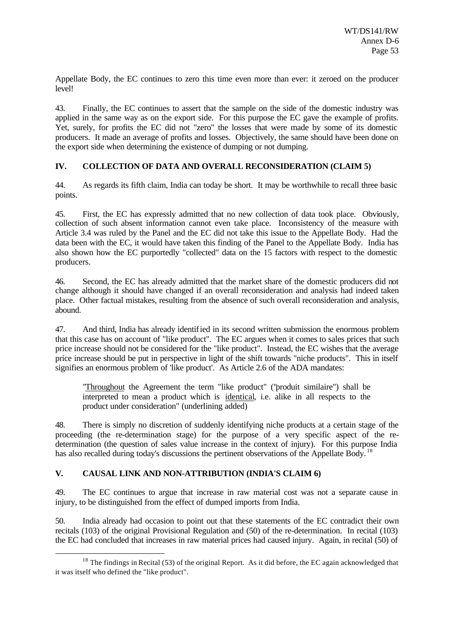Appellate Body, the EC continues to zero this time even more than ever: it zeroed on the producer level!

43. Finally, the EC continues to assert that the sample on the side of the domestic industry was applied in the same way as on the export side. For this purpose the EC gave the example of profits. Yet, surely, for profits the EC did not "zero" the losses that were made by some of its domestic producers. It made an average of profits and losses. Objectively, the same should have been done on the export side when determining the existence of dumping or not dumping.

## **IV. COLLECTION OF DATA AND OVERALL RECONSIDERATION (CLAIM 5)**

44. As regards its fifth claim, India can today be short. It may be worthwhile to recall three basic points.

45. First, the EC has expressly admitted that no new collection of data took place. Obviously, collection of such absent information cannot even take place. Inconsistency of the measure with Article 3.4 was ruled by the Panel and the EC did not take this issue to the Appellate Body. Had the data been with the EC, it would have taken this finding of the Panel to the Appellate Body. India has also shown how the EC purportedly "collected" data on the 15 factors with respect to the domestic producers.

46. Second, the EC has already admitted that the market share of the domestic producers did not change although it should have changed if an overall reconsideration and analysis had indeed taken place. Other factual mistakes, resulting from the absence of such overall reconsideration and analysis, abound.

47. And third, India has already identified in its second written submission the enormous problem that this case has on account of "like product". The EC argues when it comes to sales prices that such price increase should not be considered for the "like product". Instead, the EC wishes that the average price increase should be put in perspective in light of the shift towards "niche products". This in itself signifies an enormous problem of 'like product'. As Article 2.6 of the ADA mandates:

"Throughout the Agreement the term "like product" ("produit similaire") shall be interpreted to mean a product which is identical, i.e. alike in all respects to the product under consideration" (underlining added)

48. There is simply no discretion of suddenly identifying niche products at a certain stage of the proceeding (the re-determination stage) for the purpose of a very specific aspect of the redetermination (the question of sales value increase in the context of injury). For this purpose India has also recalled during today's discussions the pertinent observations of the Appellate Body.<sup>18</sup>

## **V. CAUSAL LINK AND NON-ATTRIBUTION (INDIA'S CLAIM 6)**

l

49. The EC continues to argue that increase in raw material cost was not a separate cause in injury, to be distinguished from the effect of dumped imports from India.

50. India already had occasion to point out that these statements of the EC contradict their own recitals (103) of the original Provisional Regulation and (50) of the re-determination. In recital (103) the EC had concluded that increases in raw material prices had caused injury. Again, in recital (50) of

<sup>&</sup>lt;sup>18</sup> The findings in Recital (53) of the original Report. As it did before, the EC again acknowledged that it was itself who defined the "like product".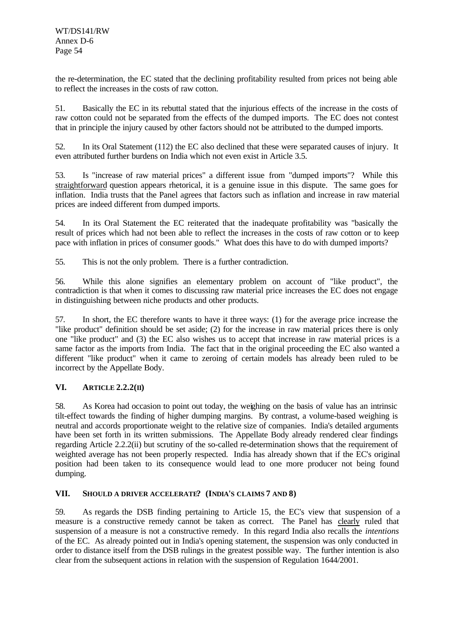the re-determination, the EC stated that the declining profitability resulted from prices not being able to reflect the increases in the costs of raw cotton.

51. Basically the EC in its rebuttal stated that the injurious effects of the increase in the costs of raw cotton could not be separated from the effects of the dumped imports. The EC does not contest that in principle the injury caused by other factors should not be attributed to the dumped imports.

52. In its Oral Statement (112) the EC also declined that these were separated causes of injury. It even attributed further burdens on India which not even exist in Article 3.5.

53. Is "increase of raw material prices" a different issue from "dumped imports"? While this straightforward question appears rhetorical, it is a genuine issue in this dispute. The same goes for inflation. India trusts that the Panel agrees that factors such as inflation and increase in raw material prices are indeed different from dumped imports.

54. In its Oral Statement the EC reiterated that the inadequate profitability was "basically the result of prices which had not been able to reflect the increases in the costs of raw cotton or to keep pace with inflation in prices of consumer goods." What does this have to do with dumped imports?

55. This is not the only problem. There is a further contradiction.

56. While this alone signifies an elementary problem on account of "like product", the contradiction is that when it comes to discussing raw material price increases the EC does not engage in distinguishing between niche products and other products.

57. In short, the EC therefore wants to have it three ways: (1) for the average price increase the "like product" definition should be set aside; (2) for the increase in raw material prices there is only one "like product" and (3) the EC also wishes us to accept that increase in raw material prices is a same factor as the imports from India. The fact that in the original proceeding the EC also wanted a different "like product" when it came to zeroing of certain models has already been ruled to be incorrect by the Appellate Body.

## **VI. ARTICLE 2.2.2(II)**

58. As Korea had occasion to point out today, the weighing on the basis of value has an intrinsic tilt-effect towards the finding of higher dumping margins. By contrast, a volume-based weighing is neutral and accords proportionate weight to the relative size of companies. India's detailed arguments have been set forth in its written submissions. The Appellate Body already rendered clear findings regarding Article 2.2.2(ii) but scrutiny of the so-called re-determination shows that the requirement of weighted average has not been properly respected. India has already shown that if the EC's original position had been taken to its consequence would lead to one more producer not being found dumping.

## **VII. SHOULD A DRIVER ACCELERATE? (INDIA'S CLAIMS 7 AND 8)**

59. As regards the DSB finding pertaining to Article 15, the EC's view that suspension of a measure is a constructive remedy cannot be taken as correct. The Panel has clearly ruled that suspension of a measure is not a constructive remedy. In this regard India also recalls the *intentions* of the EC. As already pointed out in India's opening statement, the suspension was only conducted in order to distance itself from the DSB rulings in the greatest possible way. The further intention is also clear from the subsequent actions in relation with the suspension of Regulation 1644/2001.